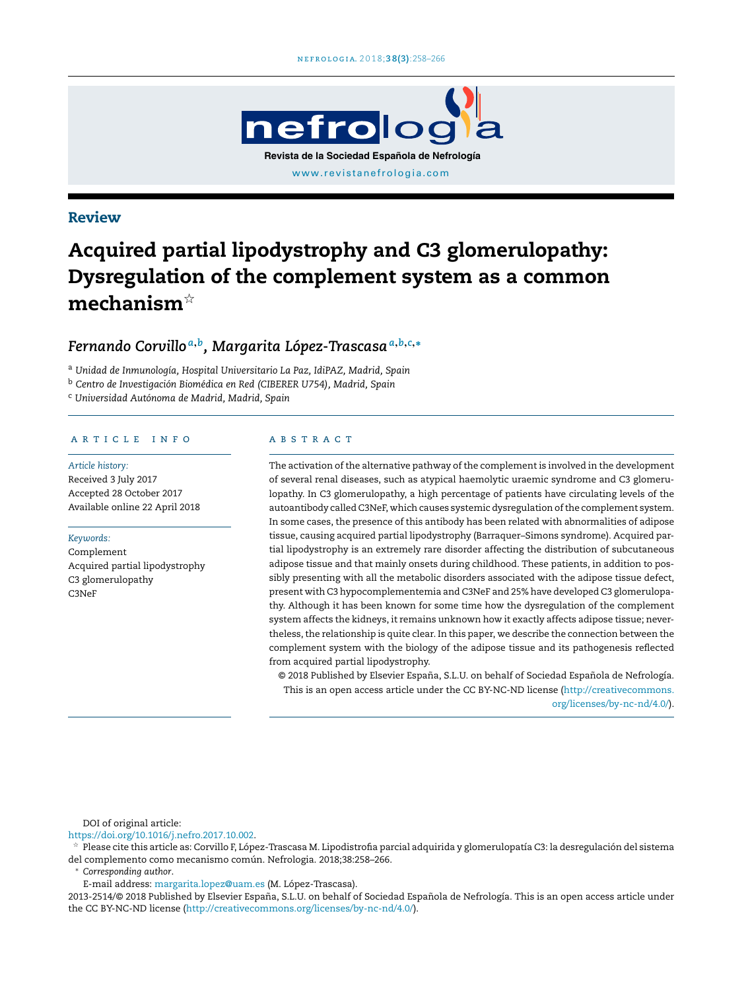

# Review

# Acquired partial lipodystrophy and C3 glomerulopathy: Dysregulation of the complement system as a common mechanism $^{\scriptscriptstyle \star}$

# *Fernando Corvillo <sup>a</sup>*,*<sup>b</sup> , Margarita López-Trascasa<sup>a</sup>*,*b*,*c*,<sup>∗</sup>

<sup>a</sup> *Unidad de Inmunología, Hospital Universitario La Paz, IdiPAZ, Madrid, Spain*

<sup>b</sup> *Centro de Investigación Biomédica en Red (CIBERER U754), Madrid, Spain*

<sup>c</sup> *Universidad Autónoma de Madrid, Madrid, Spain*

#### ARTICLE INFO

*Article history:* Received 3 July 2017 Accepted 28 October 2017 Available online 22 April 2018

# *Keywords:*

Complement Acquired partial lipodystrophy C3 glomerulopathy C3NeF

#### a b s t r a c t

The activation of the alternative pathway of the complement is involved in the development of several renal diseases, such as atypical haemolytic uraemic syndrome and C3 glomerulopathy. In C3 glomerulopathy, a high percentage of patients have circulating levels of the autoantibody calledC3NeF, which causes systemic dysregulation ofthe complement system. In some cases, the presence of this antibody has been related with abnormalities of adipose tissue, causing acquired partial lipodystrophy (Barraquer–Simons syndrome). Acquired partial lipodystrophy is an extremely rare disorder affecting the distribution of subcutaneous adipose tissue and that mainly onsets during childhood. These patients, in addition to possibly presenting with all the metabolic disorders associated with the adipose tissue defect, present with C3 hypocomplementemia and C3NeF and 25% have developed C3 glomerulopathy. Although it has been known for some time how the dysregulation of the complement system affects the kidneys, it remains unknown how it exactly affects adipose tissue; nevertheless, the relationship is quite clear. In this paper, we describe the connection between the complement system with the biology of the adipose tissue and its pathogenesis reflected from acquired partial lipodystrophy.

© 2018 Published by Elsevier España, S.L.U. on behalf of Sociedad Española de Nefrología. This is an open access article under the CC BY-NC-ND license ([http://creativecommons.](http://creativecommons.org/licenses/by-nc-nd/4.0/) [org/licenses/by-nc-nd/4.0/](http://creativecommons.org/licenses/by-nc-nd/4.0/)).

DOI of original article:

#### <https://doi.org/10.1016/j.nefro.2017.10.002>.

 $\frac{1}{24}$  Please cite this article as: Corvillo F, López-Trascasa M. Lipodistrofia parcial adquirida y glomerulopatía C3: la desregulación del sistema del complemento como mecanismo común. Nefrologia. 2018;38:258–266.

<sup>∗</sup> *Corresponding author*.

E-mail address: [margarita.lopez@uam.es](mailto:margarita.lopez@uam.es) (M. López-Trascasa).

2013-2514/© 2018 Published by Elsevier España, S.L.U. on behalf of Sociedad Española de Nefrología. This is an open access article under the CC BY-NC-ND license ([http://creativecommons.org/licenses/by-nc-nd/4.0/\)](http://creativecommons.org/licenses/by-nc-nd/4.0/).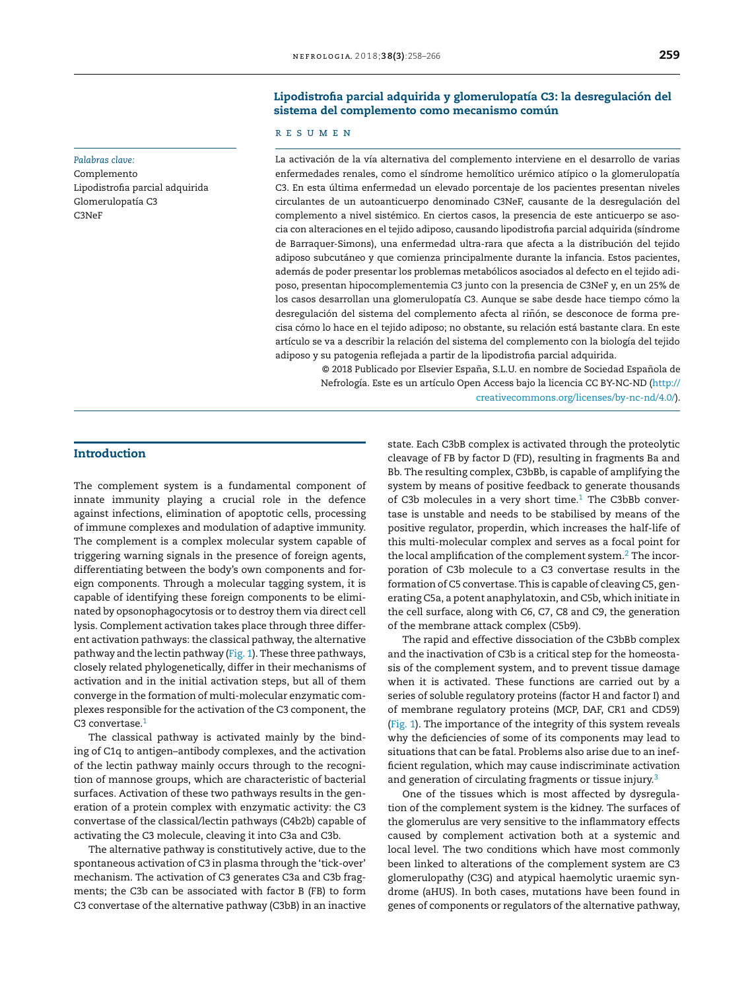# Lipodistrofia parcial adquirida y glomerulopatía C3: la desregulación del sistema del complemento como mecanismo común

#### r e s u m e n

La activación de la vía alternativa del complemento interviene en el desarrollo de varias enfermedades renales, como el síndrome hemolítico urémico atípico o la glomerulopatía C3. En esta última enfermedad un elevado porcentaje de los pacientes presentan niveles circulantes de un autoanticuerpo denominado C3NeF, causante de la desregulación del complemento a nivel sistémico. En ciertos casos, la presencia de este anticuerpo se asocia con alteraciones en el tejido adiposo, causando lipodistrofia parcial adquirida (síndrome de Barraquer-Simons), una enfermedad ultra-rara que afecta a la distribución del tejido adiposo subcutáneo y que comienza principalmente durante la infancia. Estos pacientes, además de poder presentar los problemas metabólicos asociados al defecto en el tejido adiposo, presentan hipocomplementemia C3 junto con la presencia de C3NeF y, en un 25% de los casos desarrollan una glomerulopatía C3. Aunque se sabe desde hace tiempo cómo la desregulación del sistema del complemento afecta al riñón, se desconoce de forma precisa cómo lo hace en el tejido adiposo; no obstante, su relación está bastante clara. En este artículo se va a describir la relación del sistema del complemento con la biología del tejido adiposo y su patogenia reflejada a partir de la lipodistrofia parcial adquirida.

© 2018 Publicado por Elsevier España, S.L.U. en nombre de Sociedad Española de Nefrología. Este es un artículo Open Access bajo la licencia CC BY-NC-ND [\(http://](http://creativecommons.org/licenses/by-nc-nd/4.0/) [creativecommons.org/licenses/by-nc-nd/4.0/](http://creativecommons.org/licenses/by-nc-nd/4.0/)).

#### **Introduction**

*Palabras clave:* Complemento

C3NeF

Glomerulopatía C3

Lipodistrofia parcial adquirida

The complement system is a fundamental component of innate immunity playing a crucial role in the defence against infections, elimination of apoptotic cells, processing of immune complexes and modulation of adaptive immunity. The complement is a complex molecular system capable of triggering warning signals in the presence of foreign agents, differentiating between the body's own components and foreign components. Through a molecular tagging system, it is capable of identifying these foreign components to be eliminated by opsonophagocytosis or to destroy them via direct cell lysis. Complement activation takes place through three different activation pathways: the classical pathway, the alternative pathway and the lectin pathway ([Fig.](#page-2-0) 1). These three pathways, closely related phylogenetically, differ in their mechanisms of activation and in the initial activation steps, but all of them converge in the formation of multi-molecular enzymatic complexes responsible for the activation of the C3 component, the C3 convertase.<sup>[1](#page-7-0)</sup>

The classical pathway is activated mainly by the binding of C1q to antigen–antibody complexes, and the activation of the lectin pathway mainly occurs through to the recognition of mannose groups, which are characteristic of bacterial surfaces. Activation of these two pathways results in the generation of a protein complex with enzymatic activity: the C3 convertase of the classical/lectin pathways (C4b2b) capable of activating the C3 molecule, cleaving it into C3a and C3b.

The alternative pathway is constitutively active, due to the spontaneous activation of C3 in plasma through the 'tick-over' mechanism. The activation of C3 generates C3a and C3b fragments; the C3b can be associated with factor B (FB) to form C3 convertase of the alternative pathway (C3bB) in an inactive state. Each C3bB complex is activated through the proteolytic cleavage of FB by factor D (FD), resulting in fragments Ba and Bb. The resulting complex, C3bBb, is capable of amplifying the system by means of positive feedback to generate thousands of C3b molecules in a very short time.<sup>[1](#page-7-0)</sup> The C3bBb convertase is unstable and needs to be stabilised by means of the positive regulator, properdin, which increases the half-life of this multi-molecular complex and serves as a focal point for the local amplification of the complement system.<sup>2</sup> [T](#page-7-0)he incorporation of C3b molecule to a C3 convertase results in the formation of C5 convertase. This is capable of cleaving C5, generating C5a, a potent anaphylatoxin, and C5b, which initiate in the cell surface, along with C6, C7, C8 and C9, the generation of the membrane attack complex (C5b9).

The rapid and effective dissociation of the C3bBb complex and the inactivation of C3b is a critical step for the homeostasis of the complement system, and to prevent tissue damage when it is activated. These functions are carried out by a series of soluble regulatory proteins (factor H and factor I) and of membrane regulatory proteins (MCP, DAF, CR1 and CD59) ([Fig.](#page-2-0) 1). The importance of the integrity of this system reveals why the deficiencies of some of its components may lead to situations that can be fatal. Problems also arise due to an inefficient regulation, which may cause indiscriminate activation and generation of circulating fragments or tissue injury.<sup>[3](#page-7-0)</sup>

One of the tissues which is most affected by dysregulation of the complement system is the kidney. The surfaces of the glomerulus are very sensitive to the inflammatory effects caused by complement activation both at a systemic and local level. The two conditions which have most commonly been linked to alterations of the complement system are C3 glomerulopathy (C3G) and atypical haemolytic uraemic syndrome (aHUS). In both cases, mutations have been found in genes of components or regulators of the alternative pathway,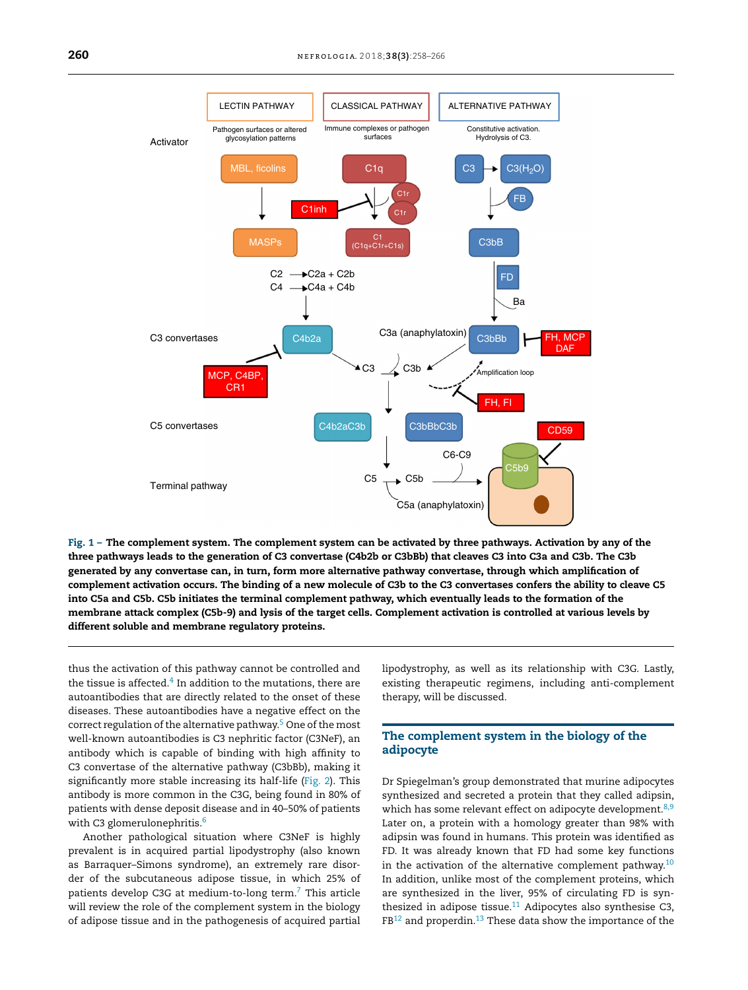<span id="page-2-0"></span>

Fig. 1 – The complement system. The complement system can be activated by three pathways. Activation by any of the three pathways leads to the generation of C3 convertase (C4b2b or C3bBb) that cleaves C3 into C3a and C3b. The C3b generated by any convertase can, in turn, form more alternative pathway convertase, through which amplification of complement activation occurs. The binding of a new molecule of C3b to the C3 convertases confers the ability to cleave C5 into C5a and C5b. C5b initiates the terminal complement pathway, which eventually leads to the formation of the membrane attack complex (C5b-9) and lysis of the target cells. Complement activation is controlled at various levels by different soluble and membrane regulatory proteins.

thus the activation of this pathway cannot be controlled and the tissue is affected. $^4$  $^4$  In addition to the mutations, there are autoantibodies that are directly related to the onset of these diseases. These autoantibodies have a negative effect on the correct regulation of the alternative pathway.<sup>[5](#page-7-0)</sup> One of the most well-known autoantibodies is C3 nephritic factor (C3NeF), an antibody which is capable of binding with high affinity to C3 convertase of the alternative pathway (C3bBb), making it significantly more stable increasing its half-life ([Fig.](#page-3-0) 2). This antibody is more common in the C3G, being found in 80% of patients with dense deposit disease and in 40–50% of patients with C3 glomerulonephritis.<sup>[6](#page-7-0)</sup>

Another pathological situation where C3NeF is highly prevalent is in acquired partial lipodystrophy (also known as Barraquer–Simons syndrome), an extremely rare disorder of the subcutaneous adipose tissue, in which 25% of patients develop C3G at medium-to-long term.[7](#page-7-0) This article will review the role of the complement system in the biology of adipose tissue and in the pathogenesis of acquired partial lipodystrophy, as well as its relationship with C3G. Lastly, existing therapeutic regimens, including anti-complement therapy, will be discussed.

# The complement system in the biology of the adipocyte

Dr Spiegelman's group demonstrated that murine adipocytes synthesized and secreted a protein that they called adipsin, which has some relevant effect on adipocyte development.<sup>[8,9](#page-7-0)</sup> Later on, a protein with a homology greater than 98% with adipsin was found in humans. This protein was identified as FD. It was already known that FD had some key functions in the activation of the alternative complement pathway.<sup>[10](#page-7-0)</sup> In addition, unlike most of the complement proteins, which are synthesized in the liver, 95% of circulating FD is synthesized in adipose tissue. $11$  Adipocytes also synthesise C3,  $FB^{12}$  $FB^{12}$  $FB^{12}$  and properdin.<sup>[13](#page-7-0)</sup> These data show the importance of the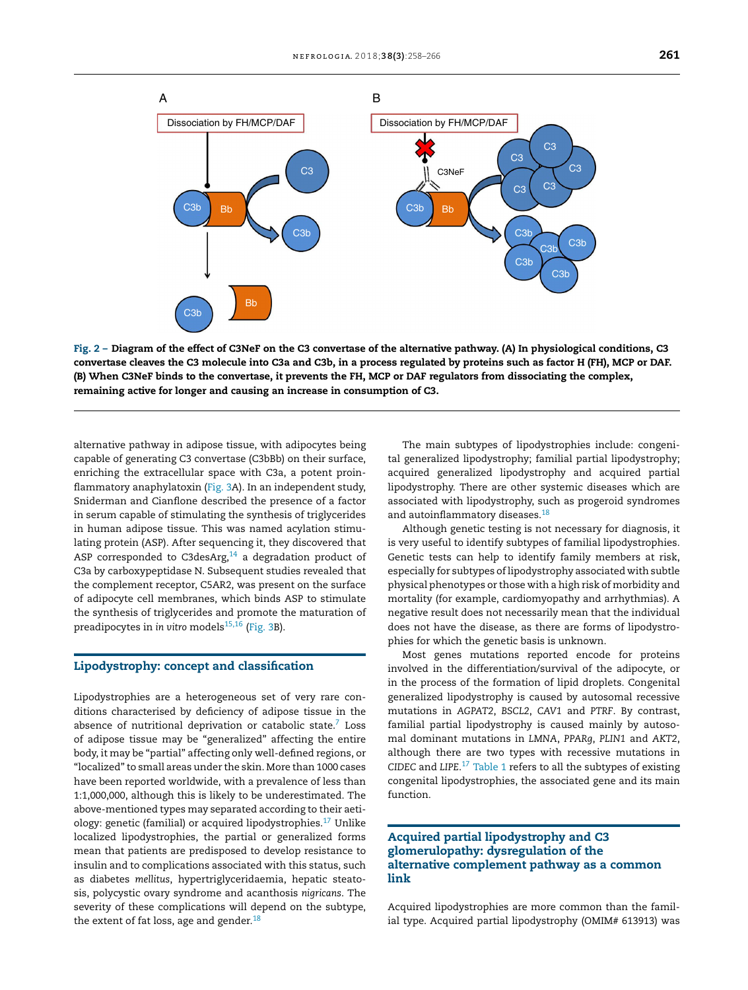<span id="page-3-0"></span>

Fig. 2 – Diagram of the effect of C3NeF on the C3 convertase of the alternative pathway. (A) In physiological conditions, C3 convertase cleaves the C3 molecule into C3a and C3b, in a process regulated by proteins such as factor H (FH), MCP or DAF. (B) When C3NeF binds to the convertase, it prevents the FH, MCP or DAF regulators from dissociating the complex, remaining active for longer and causing an increase in consumption of C3.

alternative pathway in adipose tissue, with adipocytes being capable of generating C3 convertase (C3bBb) on their surface, enriching the extracellular space with C3a, a potent proin-flammatory anaphylatoxin [\(Fig.](#page-4-0) 3A). In an independent study, Sniderman and Cianflone described the presence of a factor in serum capable of stimulating the synthesis of triglycerides in human adipose tissue. This was named acylation stimulating protein (ASP). After sequencing it, they discovered that ASP corresponded to C3desArg, $14$  a degradation product of C3a by carboxypeptidase N. Subsequent studies revealed that the complement receptor, C5AR2, was present on the surface of adipocyte cell membranes, which binds ASP to stimulate the synthesis of triglycerides and promote the maturation of preadipocytes in *in vitro* models<sup>[15,16](#page-7-0)</sup> [\(Fig.](#page-4-0) 3B).

## Lipodystrophy: concept and classification

Lipodystrophies are a heterogeneous set of very rare conditions characterised by deficiency of adipose tissue in the absence of nutritional deprivation or catabolic state. $7$  Loss of adipose tissue may be "generalized" affecting the entire body, it may be "partial" affecting only well-defined regions, or "localized" to small areas under the skin. More than 1000 cases have been reported worldwide, with a prevalence of less than 1:1,000,000, although this is likely to be underestimated. The above-mentioned types may separated according to their aetiology: genetic (familial) or acquired lipodystrophies. $17$  Unlike localized lipodystrophies, the partial or generalized forms mean that patients are predisposed to develop resistance to insulin and to complications associated with this status, such as diabetes *mellitus*, hypertriglyceridaemia, hepatic steatosis, polycystic ovary syndrome and acanthosis *nigricans*. The severity of these complications will depend on the subtype, the extent of fat loss, age and gender.<sup>[18](#page-7-0)</sup>

The main subtypes of lipodystrophies include: congenital generalized lipodystrophy; familial partial lipodystrophy; acquired generalized lipodystrophy and acquired partial lipodystrophy. There are other systemic diseases which are associated with lipodystrophy, such as progeroid syndromes and autoinflammatory diseases.<sup>[18](#page-7-0)</sup>

Although genetic testing is not necessary for diagnosis, it is very useful to identify subtypes of familial lipodystrophies. Genetic tests can help to identify family members at risk, especially for subtypes of lipodystrophy associated with subtle physical phenotypes or those with a high risk of morbidity and mortality (for example, cardiomyopathy and arrhythmias). A negative result does not necessarily mean that the individual does not have the disease, as there are forms of lipodystrophies for which the genetic basis is unknown.

Most genes mutations reported encode for proteins involved in the differentiation/survival of the adipocyte, or in the process of the formation of lipid droplets. Congenital generalized lipodystrophy is caused by autosomal recessive mutations in *AGPAT2*, *BSCL2*, *CAV1* and *PTRF*. By contrast, familial partial lipodystrophy is caused mainly by autosomal dominant mutations in *LMNA*, *PPARg*, *PLIN1* and *AKT2*, although there are two types with recessive mutations in *CIDEC* and *LIPE*. [17](#page-7-0) [Table](#page-4-0) 1 refers to all the subtypes of existing congenital lipodystrophies, the associated gene and its main function.

# Acquired partial lipodystrophy and C3 glomerulopathy: dysregulation of the alternative complement pathway as a common link

Acquired lipodystrophies are more common than the familial type. Acquired partial lipodystrophy (OMIM# 613913) was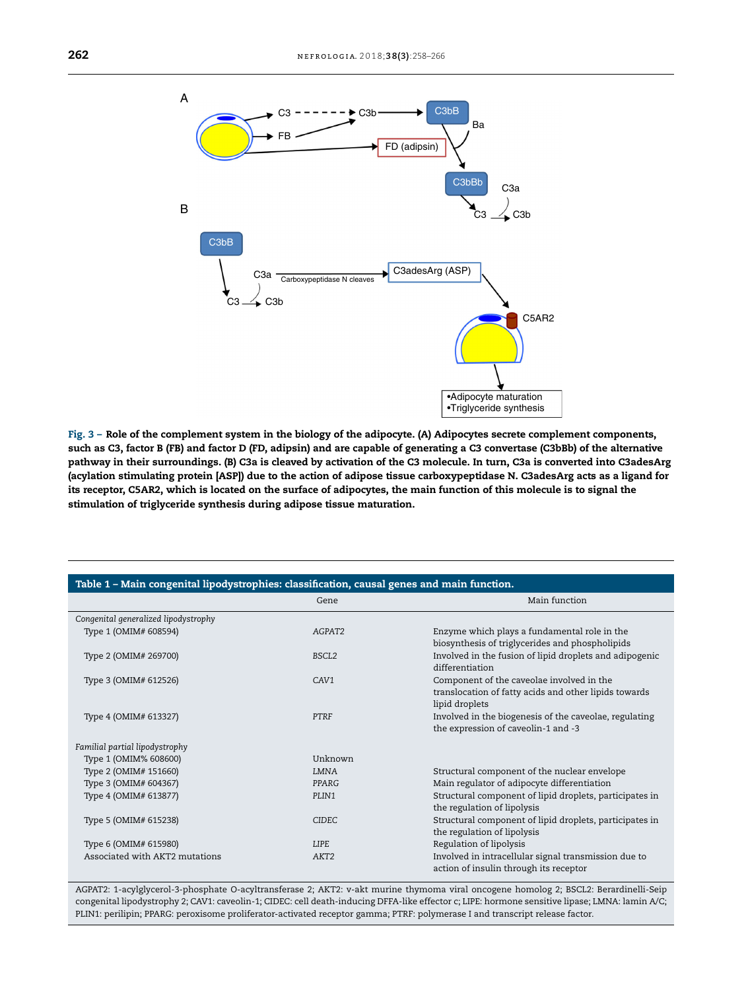<span id="page-4-0"></span>

Fig. 3 - Role of the complement system in the biology of the adipocyte. (A) Adipocytes secrete complement components, such as C3, factor B (FB) and factor D (FD, adipsin) and are capable of generating a C3 convertase (C3bBb) of the alternative pathway in their surroundings. (B) C3a is cleaved by activation of the C3 molecule. In turn, C3a is converted into C3adesArg (acylation stimulating protein [ASP]) due to the action of adipose tissue carboxypeptidase N. C3adesArg acts as a ligand for its receptor, C5AR2, which is located on the surface of adipocytes, the main function of this molecule is to signal the stimulation of triglyceride synthesis during adipose tissue maturation.

| Table 1 – Main congenital lipodystrophies: classification, causal genes and main function. |                   |                                                         |
|--------------------------------------------------------------------------------------------|-------------------|---------------------------------------------------------|
|                                                                                            | Gene              | Main function                                           |
| Congenital generalized lipodystrophy                                                       |                   |                                                         |
| Type 1 (OMIM# 608594)                                                                      | AGPAT2            | Enzyme which plays a fundamental role in the            |
|                                                                                            |                   | biosynthesis of triglycerides and phospholipids         |
| Type 2 (OMIM# 269700)                                                                      | BSCL <sub>2</sub> | Involved in the fusion of lipid droplets and adipogenic |
|                                                                                            |                   | differentiation                                         |
| Type 3 (OMIM# 612526)                                                                      | CAV1              | Component of the caveolae involved in the               |
|                                                                                            |                   | translocation of fatty acids and other lipids towards   |
|                                                                                            |                   | lipid droplets                                          |
| Type 4 (OMIM# 613327)                                                                      | PTRF              | Involved in the biogenesis of the caveolae, regulating  |
|                                                                                            |                   | the expression of caveolin-1 and -3                     |
| Familial partial lipodystrophy                                                             |                   |                                                         |
| Type 1 (OMIM% 608600)                                                                      | Unknown           |                                                         |
| Type 2 (OMIM# 151660)                                                                      | <b>LMNA</b>       | Structural component of the nuclear envelope            |
| Type 3 (OMIM# 604367)                                                                      | PPARG             | Main regulator of adipocyte differentiation             |
| Type 4 (OMIM# 613877)                                                                      | PLIN1             | Structural component of lipid droplets, participates in |
|                                                                                            |                   | the regulation of lipolysis                             |
| Type 5 (OMIM# 615238)                                                                      | <b>CIDEC</b>      | Structural component of lipid droplets, participates in |
|                                                                                            |                   | the regulation of lipolysis                             |
| Type 6 (OMIM# 615980)                                                                      | <b>LIPE</b>       | Regulation of lipolysis                                 |
| Associated with AKT2 mutations                                                             | AKT <sub>2</sub>  | Involved in intracellular signal transmission due to    |
|                                                                                            |                   | action of insulin through its receptor                  |

AGPAT2: 1-acylglycerol-3-phosphate O-acyltransferase 2; AKT2: v-akt murine thymoma viral oncogene homolog 2; BSCL2: Berardinelli-Seip congenital lipodystrophy 2; CAV1: caveolin-1; CIDEC: cell death-inducing DFFA-like effector c; LIPE: hormone sensitive lipase; LMNA: lamin A/C; PLIN1: perilipin; PPARG: peroxisome proliferator-activated receptor gamma; PTRF: polymerase I and transcript release factor.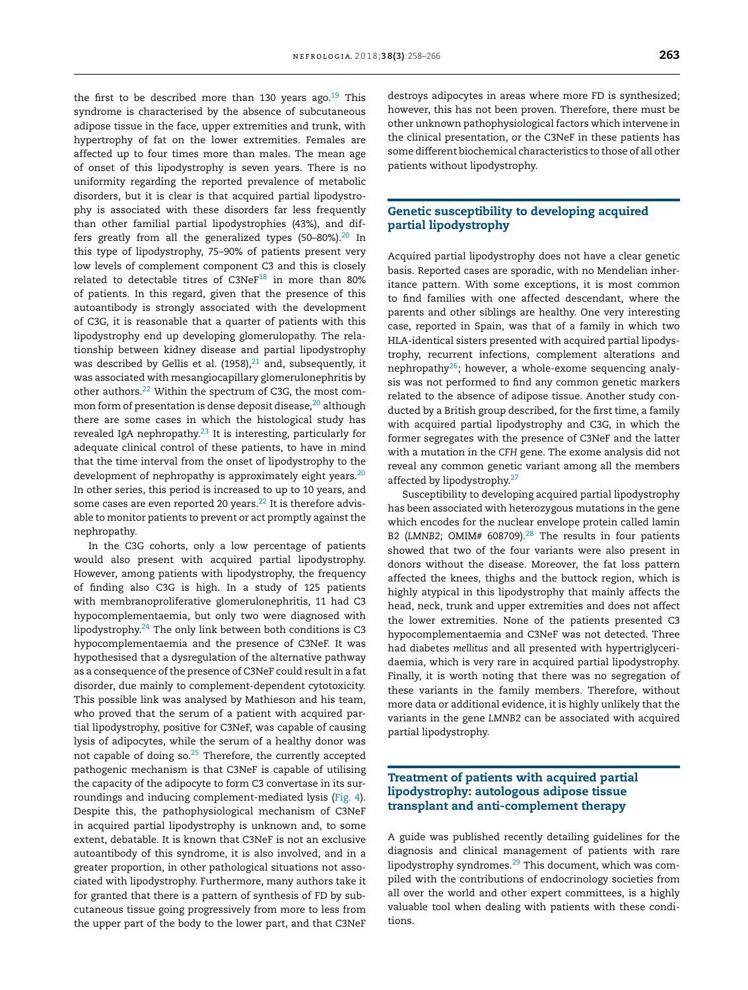the first to be described more than 130 years ago.<sup>[19](#page-7-0)</sup> This syndrome is characterised by the absence of subcutaneous adipose tissue in the face, upper extremities and trunk, with hypertrophy of fat on the lower extremities. Females are affected up to four times more than males. The mean age of onset of this lipodystrophy is seven years. There is no uniformity regarding the reported prevalence of metabolic disorders, but it is clear is that acquired partial lipodystrophy is associated with these disorders far less frequently than other familial partial lipodystrophies (43%), and differs greatly from all the generalized types (50-80%). $20$  In this type of lipodystrophy, 75–90% of patients present very low levels of complement component C3 and this is closely related to detectable titres of  $C3NeF^{18}$  $C3NeF^{18}$  $C3NeF^{18}$  in more than 80% of patients. In this regard, given that the presence of this autoantibody is strongly associated with the development of C3G, it is reasonable that a quarter of patients with this lipodystrophy end up developing glomerulopathy. The relationship between kidney disease and partial lipodystrophy was described by Gellis et al. (1958), $^{21}$  $^{21}$  $^{21}$  and, subsequently, it was associated with mesangiocapillary glomerulonephritis by other authors.<sup>[22](#page-7-0)</sup> Within the spectrum of C3G, the most common form of presentation is dense deposit disease, $20$  although there are some cases in which the histological study has revealed IgA nephropathy. $23$  It is interesting, particularly for adequate clinical control of these patients, to have in mind that the time interval from the onset of lipodystrophy to the development of nephropathy is approximately eight years. $20$ In other series, this period is increased to up to 10 years, and some cases are even reported 20 years. $22$  It is therefore advisable to monitor patients to prevent or act promptly against the nephropathy.

In the C3G cohorts, only a low percentage of patients would also present with acquired partial lipodystrophy. However, among patients with lipodystrophy, the frequency of finding also C3G is high. In a study of 125 patients with membranoproliferative glomerulonephritis, 11 had C3 hypocomplementaemia, but only two were diagnosed with lipodystrophy. $24$  The only link between both conditions is C3 hypocomplementaemia and the presence of C3NeF. It was hypothesised that a dysregulation of the alternative pathway as a consequence of the presence of C3NeF could result in a fat disorder, due mainly to complement-dependent cytotoxicity. This possible link was analysed by Mathieson and his team, who proved that the serum of a patient with acquired partial lipodystrophy, positive for C3NeF, was capable of causing lysis of adipocytes, while the serum of a healthy donor was not capable of doing so. $25$  Therefore, the currently accepted pathogenic mechanism is that C3NeF is capable of utilising the capacity of the adipocyte to form C3 convertase in its surroundings and inducing complement-mediated lysis ([Fig.](#page-6-0) 4). Despite this, the pathophysiological mechanism of C3NeF in acquired partial lipodystrophy is unknown and, to some extent, debatable. It is known that C3NeF is not an exclusive autoantibody of this syndrome, it is also involved, and in a greater proportion, in other pathological situations not associated with lipodystrophy. Furthermore, many authors take it for granted that there is a pattern of synthesis of FD by subcutaneous tissue going progressively from more to less from the upper part of the body to the lower part, and that C3NeF

destroys adipocytes in areas where more FD is synthesized; however, this has not been proven. Therefore, there must be other unknown pathophysiological factors which intervene in the clinical presentation, or the C3NeF in these patients has some different biochemical characteristics to those of all other patients without lipodystrophy.

# Genetic susceptibility to developing acquired partial lipodystrophy

Acquired partial lipodystrophy does not have a clear genetic basis. Reported cases are sporadic, with no Mendelian inheritance pattern. With some exceptions, it is most common to find families with one affected descendant, where the parents and other siblings are healthy. One very interesting case, reported in Spain, was that of a family in which two HLA-identical sisters presented with acquired partial lipodystrophy, recurrent infections, complement alterations and nephropathy $^{26}$  $^{26}$  $^{26}$ ; however, a whole-exome sequencing analysis was not performed to find any common genetic markers related to the absence of adipose tissue. Another study conducted by a British group described, for the first time, a family with acquired partial lipodystrophy and C3G, in which the former segregates with the presence of C3NeF and the latter with a mutation in the *CFH* gene. The exome analysis did not reveal any common genetic variant among all the members affected by lipodystrophy.<sup>[27](#page-7-0)</sup>

Susceptibility to developing acquired partial lipodystrophy has been associated with heterozygous mutations in the gene which encodes for the nuclear envelope protein called lamin B2 (LMNB2; OMIM# 608709).<sup>[28](#page-7-0)</sup> The results in four patients showed that two of the four variants were also present in donors without the disease. Moreover, the fat loss pattern affected the knees, thighs and the buttock region, which is highly atypical in this lipodystrophy that mainly affects the head, neck, trunk and upper extremities and does not affect the lower extremities. None of the patients presented C3 hypocomplementaemia and C3NeF was not detected. Three had diabetes *mellitus* and all presented with hypertriglyceridaemia, which is very rare in acquired partial lipodystrophy. Finally, it is worth noting that there was no segregation of these variants in the family members. Therefore, without more data or additional evidence, it is highly unlikely that the variants in the gene *LMNB2* can be associated with acquired partial lipodystrophy.

# Treatment of patients with acquired partial lipodystrophy: autologous adipose tissue transplant and anti-complement therapy

A guide was published recently detailing guidelines for the diagnosis and clinical management of patients with rare lipodystrophy syndromes.[29](#page-7-0) This document, which was compiled with the contributions of endocrinology societies from all over the world and other expert committees, is a highly valuable tool when dealing with patients with these conditions.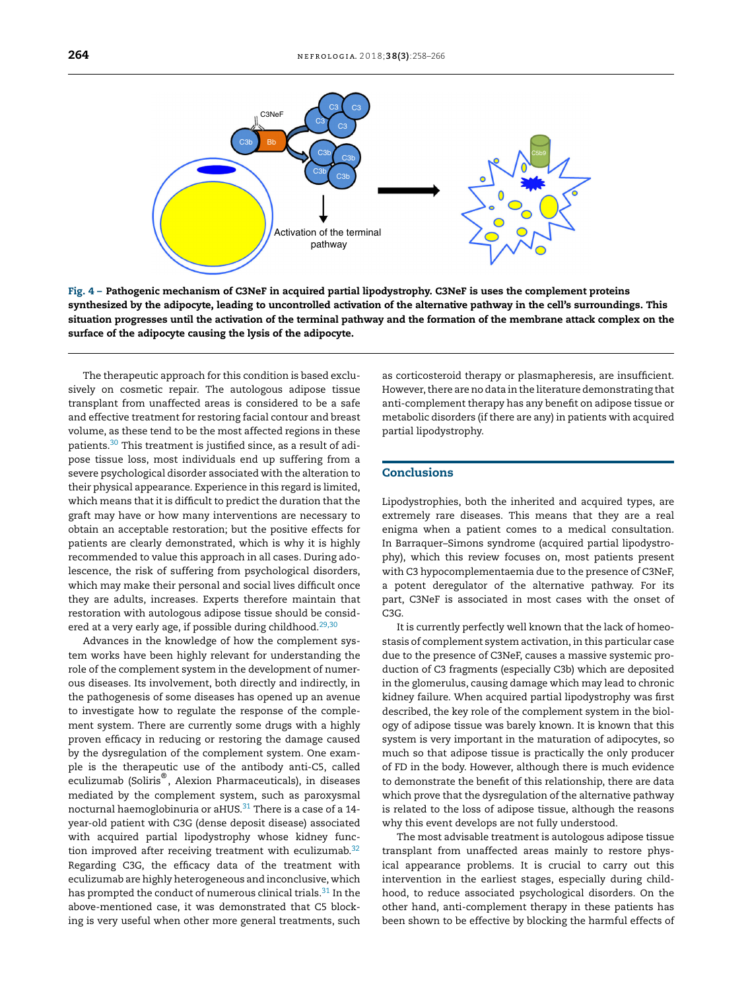<span id="page-6-0"></span>

Fig. 4 – Pathogenic mechanism of C3NeF in acquired partial lipodystrophy. C3NeF is uses the complement proteins synthesized by the adipocyte, leading to uncontrolled activation of the alternative pathway in the cell's surroundings. This situation progresses until the activation of the terminal pathway and the formation of the membrane attack complex on the surface of the adipocyte causing the lysis of the adipocyte.

The therapeutic approach for this condition is based exclusively on cosmetic repair. The autologous adipose tissue transplant from unaffected areas is considered to be a safe and effective treatment for restoring facial contour and breast volume, as these tend to be the most affected regions in these patients.[30](#page-7-0) This treatment is justified since, as a result of adipose tissue loss, most individuals end up suffering from a severe psychological disorder associated with the alteration to their physical appearance. Experience in this regard is limited, which means that it is difficult to predict the duration that the graft may have or how many interventions are necessary to obtain an acceptable restoration; but the positive effects for patients are clearly demonstrated, which is why it is highly recommended to value this approach in all cases. During adolescence, the risk of suffering from psychological disorders, which may make their personal and social lives difficult once they are adults, increases. Experts therefore maintain that restoration with autologous adipose tissue should be consid-ered at a very early age, if possible during childhood.<sup>[29,30](#page-7-0)</sup>

Advances in the knowledge of how the complement system works have been highly relevant for understanding the role of the complement system in the development of numerous diseases. Its involvement, both directly and indirectly, in the pathogenesis of some diseases has opened up an avenue to investigate how to regulate the response of the complement system. There are currently some drugs with a highly proven efficacy in reducing or restoring the damage caused by the dysregulation of the complement system. One example is the therapeutic use of the antibody anti-C5, called eculizumab (Soliris® , Alexion Pharmaceuticals), in diseases mediated by the complement system, such as paroxysmal nocturnal haemoglobinuria or aHUS. $31$  There is a case of a 14year-old patient with C3G (dense deposit disease) associated with acquired partial lipodystrophy whose kidney func-tion improved after receiving treatment with eculizumab.<sup>[32](#page-8-0)</sup> Regarding C3G, the efficacy data of the treatment with eculizumab are highly heterogeneous and inconclusive, which has prompted the conduct of numerous clinical trials.<sup>[31](#page-8-0)</sup> In the above-mentioned case, it was demonstrated that C5 blocking is very useful when other more general treatments, such

as corticosteroid therapy or plasmapheresis, are insufficient. However, there are no data in the literature demonstrating that anti-complement therapy has any benefit on adipose tissue or metabolic disorders (if there are any) in patients with acquired partial lipodystrophy.

### Conclusions

Lipodystrophies, both the inherited and acquired types, are extremely rare diseases. This means that they are a real enigma when a patient comes to a medical consultation. In Barraquer–Simons syndrome (acquired partial lipodystrophy), which this review focuses on, most patients present with C3 hypocomplementaemia due to the presence of C3NeF, a potent deregulator of the alternative pathway. For its part, C3NeF is associated in most cases with the onset of C3G.

It is currently perfectly well known that the lack of homeostasis of complement system activation, in this particular case due to the presence of C3NeF, causes a massive systemic production of C3 fragments (especially C3b) which are deposited in the glomerulus, causing damage which may lead to chronic kidney failure. When acquired partial lipodystrophy was first described, the key role of the complement system in the biology of adipose tissue was barely known. It is known that this system is very important in the maturation of adipocytes, so much so that adipose tissue is practically the only producer of FD in the body. However, although there is much evidence to demonstrate the benefit of this relationship, there are data which prove that the dysregulation of the alternative pathway is related to the loss of adipose tissue, although the reasons why this event develops are not fully understood.

The most advisable treatment is autologous adipose tissue transplant from unaffected areas mainly to restore physical appearance problems. It is crucial to carry out this intervention in the earliest stages, especially during childhood, to reduce associated psychological disorders. On the other hand, anti-complement therapy in these patients has been shown to be effective by blocking the harmful effects of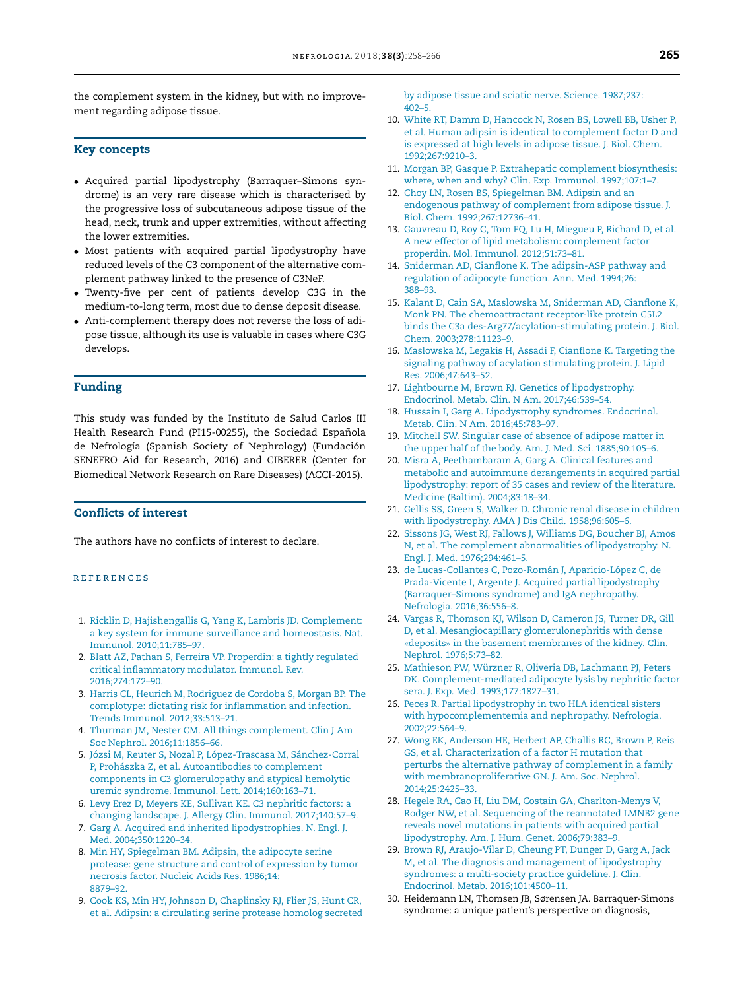<span id="page-7-0"></span>the complement system in the kidney, but with no improvement regarding adipose tissue.

#### Key concepts

- Acquired partial lipodystrophy (Barraquer–Simons syndrome) is an very rare disease which is characterised by the progressive loss of subcutaneous adipose tissue of the head, neck, trunk and upper extremities, without affecting the lower extremities.
- Most patients with acquired partial lipodystrophy have reduced levels of the C3 component of the alternative complement pathway linked to the presence of C3NeF.
- Twenty-five per cent of patients develop C3G in the medium-to-long term, most due to dense deposit disease.
- Anti-complement therapy does not reverse the loss of adipose tissue, although its use is valuable in cases where C3G develops.

#### Funding

This study was funded by the Instituto de Salud Carlos III Health Research Fund (PI15-00255), the Sociedad Española de Nefrología (Spanish Society of Nephrology) (Fundación SENEFRO Aid for Research, 2016) and CIBERER (Center for Biomedical Network Research on Rare Diseases) (ACCI-2015).

## Conflicts of interest

The authors have no conflicts of interest to declare.

#### r e f e r enc e s

- 1. [Ricklin](http://refhub.elsevier.com/S2013-2514(18)30060-9/sbref0165) [D,](http://refhub.elsevier.com/S2013-2514(18)30060-9/sbref0165) [Hajishengallis](http://refhub.elsevier.com/S2013-2514(18)30060-9/sbref0165) [G,](http://refhub.elsevier.com/S2013-2514(18)30060-9/sbref0165) [Yang](http://refhub.elsevier.com/S2013-2514(18)30060-9/sbref0165) [K,](http://refhub.elsevier.com/S2013-2514(18)30060-9/sbref0165) [Lambris](http://refhub.elsevier.com/S2013-2514(18)30060-9/sbref0165) [JD.](http://refhub.elsevier.com/S2013-2514(18)30060-9/sbref0165) [Complement:](http://refhub.elsevier.com/S2013-2514(18)30060-9/sbref0165) [a](http://refhub.elsevier.com/S2013-2514(18)30060-9/sbref0165) [key](http://refhub.elsevier.com/S2013-2514(18)30060-9/sbref0165) [system](http://refhub.elsevier.com/S2013-2514(18)30060-9/sbref0165) [for](http://refhub.elsevier.com/S2013-2514(18)30060-9/sbref0165) [immune](http://refhub.elsevier.com/S2013-2514(18)30060-9/sbref0165) [surveillance](http://refhub.elsevier.com/S2013-2514(18)30060-9/sbref0165) [and](http://refhub.elsevier.com/S2013-2514(18)30060-9/sbref0165) [homeostasis.](http://refhub.elsevier.com/S2013-2514(18)30060-9/sbref0165) [Nat.](http://refhub.elsevier.com/S2013-2514(18)30060-9/sbref0165) [Immunol.](http://refhub.elsevier.com/S2013-2514(18)30060-9/sbref0165) [2010;11:785](http://refhub.elsevier.com/S2013-2514(18)30060-9/sbref0165)–[97.](http://refhub.elsevier.com/S2013-2514(18)30060-9/sbref0165)
- 2. [Blatt](http://refhub.elsevier.com/S2013-2514(18)30060-9/sbref0170) [AZ,](http://refhub.elsevier.com/S2013-2514(18)30060-9/sbref0170) [Pathan](http://refhub.elsevier.com/S2013-2514(18)30060-9/sbref0170) [S,](http://refhub.elsevier.com/S2013-2514(18)30060-9/sbref0170) [Ferreira](http://refhub.elsevier.com/S2013-2514(18)30060-9/sbref0170) [VP.](http://refhub.elsevier.com/S2013-2514(18)30060-9/sbref0170) [Properdin:](http://refhub.elsevier.com/S2013-2514(18)30060-9/sbref0170) [a](http://refhub.elsevier.com/S2013-2514(18)30060-9/sbref0170) [tightly](http://refhub.elsevier.com/S2013-2514(18)30060-9/sbref0170) [regulated](http://refhub.elsevier.com/S2013-2514(18)30060-9/sbref0170) [critical](http://refhub.elsevier.com/S2013-2514(18)30060-9/sbref0170) [inflammatory](http://refhub.elsevier.com/S2013-2514(18)30060-9/sbref0170) [modulator.](http://refhub.elsevier.com/S2013-2514(18)30060-9/sbref0170) [Immunol.](http://refhub.elsevier.com/S2013-2514(18)30060-9/sbref0170) [Rev.](http://refhub.elsevier.com/S2013-2514(18)30060-9/sbref0170) [2016;274:172–90.](http://refhub.elsevier.com/S2013-2514(18)30060-9/sbref0170)
- 3. [Harris](http://refhub.elsevier.com/S2013-2514(18)30060-9/sbref0175) [CL,](http://refhub.elsevier.com/S2013-2514(18)30060-9/sbref0175) [Heurich](http://refhub.elsevier.com/S2013-2514(18)30060-9/sbref0175) [M,](http://refhub.elsevier.com/S2013-2514(18)30060-9/sbref0175) [Rodriguez](http://refhub.elsevier.com/S2013-2514(18)30060-9/sbref0175) [de](http://refhub.elsevier.com/S2013-2514(18)30060-9/sbref0175) [Cordoba](http://refhub.elsevier.com/S2013-2514(18)30060-9/sbref0175) [S,](http://refhub.elsevier.com/S2013-2514(18)30060-9/sbref0175) [Morgan](http://refhub.elsevier.com/S2013-2514(18)30060-9/sbref0175) [BP.](http://refhub.elsevier.com/S2013-2514(18)30060-9/sbref0175) [The](http://refhub.elsevier.com/S2013-2514(18)30060-9/sbref0175) [complotype:](http://refhub.elsevier.com/S2013-2514(18)30060-9/sbref0175) [dictating](http://refhub.elsevier.com/S2013-2514(18)30060-9/sbref0175) [risk](http://refhub.elsevier.com/S2013-2514(18)30060-9/sbref0175) [for](http://refhub.elsevier.com/S2013-2514(18)30060-9/sbref0175) [inflammation](http://refhub.elsevier.com/S2013-2514(18)30060-9/sbref0175) [and](http://refhub.elsevier.com/S2013-2514(18)30060-9/sbref0175) [infection.](http://refhub.elsevier.com/S2013-2514(18)30060-9/sbref0175) [Trends](http://refhub.elsevier.com/S2013-2514(18)30060-9/sbref0175) [Immunol.](http://refhub.elsevier.com/S2013-2514(18)30060-9/sbref0175) [2012;33:513–21.](http://refhub.elsevier.com/S2013-2514(18)30060-9/sbref0175)
- 4. [Thurman](http://refhub.elsevier.com/S2013-2514(18)30060-9/sbref0180) [JM,](http://refhub.elsevier.com/S2013-2514(18)30060-9/sbref0180) [Nester](http://refhub.elsevier.com/S2013-2514(18)30060-9/sbref0180) [CM.](http://refhub.elsevier.com/S2013-2514(18)30060-9/sbref0180) [All](http://refhub.elsevier.com/S2013-2514(18)30060-9/sbref0180) [things](http://refhub.elsevier.com/S2013-2514(18)30060-9/sbref0180) [complement.](http://refhub.elsevier.com/S2013-2514(18)30060-9/sbref0180) [Clin](http://refhub.elsevier.com/S2013-2514(18)30060-9/sbref0180) [J](http://refhub.elsevier.com/S2013-2514(18)30060-9/sbref0180) [Am](http://refhub.elsevier.com/S2013-2514(18)30060-9/sbref0180) [Soc](http://refhub.elsevier.com/S2013-2514(18)30060-9/sbref0180) [Nephrol.](http://refhub.elsevier.com/S2013-2514(18)30060-9/sbref0180) [2016;11:1856–66.](http://refhub.elsevier.com/S2013-2514(18)30060-9/sbref0180)
- 5. [Józsi](http://refhub.elsevier.com/S2013-2514(18)30060-9/sbref0185) [M,](http://refhub.elsevier.com/S2013-2514(18)30060-9/sbref0185) [Reuter](http://refhub.elsevier.com/S2013-2514(18)30060-9/sbref0185) [S,](http://refhub.elsevier.com/S2013-2514(18)30060-9/sbref0185) [Nozal](http://refhub.elsevier.com/S2013-2514(18)30060-9/sbref0185) [P,](http://refhub.elsevier.com/S2013-2514(18)30060-9/sbref0185) [López-Trascasa](http://refhub.elsevier.com/S2013-2514(18)30060-9/sbref0185) [M,](http://refhub.elsevier.com/S2013-2514(18)30060-9/sbref0185) [Sánchez-Corral](http://refhub.elsevier.com/S2013-2514(18)30060-9/sbref0185) [P,](http://refhub.elsevier.com/S2013-2514(18)30060-9/sbref0185) [Prohászka](http://refhub.elsevier.com/S2013-2514(18)30060-9/sbref0185) [Z,](http://refhub.elsevier.com/S2013-2514(18)30060-9/sbref0185) [et](http://refhub.elsevier.com/S2013-2514(18)30060-9/sbref0185) [al.](http://refhub.elsevier.com/S2013-2514(18)30060-9/sbref0185) [Autoantibodies](http://refhub.elsevier.com/S2013-2514(18)30060-9/sbref0185) [to](http://refhub.elsevier.com/S2013-2514(18)30060-9/sbref0185) [complement](http://refhub.elsevier.com/S2013-2514(18)30060-9/sbref0185) [components](http://refhub.elsevier.com/S2013-2514(18)30060-9/sbref0185) [in](http://refhub.elsevier.com/S2013-2514(18)30060-9/sbref0185) [C3](http://refhub.elsevier.com/S2013-2514(18)30060-9/sbref0185) [glomerulopathy](http://refhub.elsevier.com/S2013-2514(18)30060-9/sbref0185) [and](http://refhub.elsevier.com/S2013-2514(18)30060-9/sbref0185) [atypical](http://refhub.elsevier.com/S2013-2514(18)30060-9/sbref0185) [hemolytic](http://refhub.elsevier.com/S2013-2514(18)30060-9/sbref0185) [uremic](http://refhub.elsevier.com/S2013-2514(18)30060-9/sbref0185) [syndrome.](http://refhub.elsevier.com/S2013-2514(18)30060-9/sbref0185) [Immunol.](http://refhub.elsevier.com/S2013-2514(18)30060-9/sbref0185) [Lett.](http://refhub.elsevier.com/S2013-2514(18)30060-9/sbref0185) [2014;160:163–71.](http://refhub.elsevier.com/S2013-2514(18)30060-9/sbref0185)
- 6. [Levy](http://refhub.elsevier.com/S2013-2514(18)30060-9/sbref0190) [Erez](http://refhub.elsevier.com/S2013-2514(18)30060-9/sbref0190) [D,](http://refhub.elsevier.com/S2013-2514(18)30060-9/sbref0190) [Meyers](http://refhub.elsevier.com/S2013-2514(18)30060-9/sbref0190) [KE,](http://refhub.elsevier.com/S2013-2514(18)30060-9/sbref0190) [Sullivan](http://refhub.elsevier.com/S2013-2514(18)30060-9/sbref0190) [KE.](http://refhub.elsevier.com/S2013-2514(18)30060-9/sbref0190) [C3](http://refhub.elsevier.com/S2013-2514(18)30060-9/sbref0190) [nephritic](http://refhub.elsevier.com/S2013-2514(18)30060-9/sbref0190) [factors:](http://refhub.elsevier.com/S2013-2514(18)30060-9/sbref0190) [a](http://refhub.elsevier.com/S2013-2514(18)30060-9/sbref0190) [changing](http://refhub.elsevier.com/S2013-2514(18)30060-9/sbref0190) [landscape.](http://refhub.elsevier.com/S2013-2514(18)30060-9/sbref0190) [J.](http://refhub.elsevier.com/S2013-2514(18)30060-9/sbref0190) [Allergy](http://refhub.elsevier.com/S2013-2514(18)30060-9/sbref0190) [Clin.](http://refhub.elsevier.com/S2013-2514(18)30060-9/sbref0190) [Immunol.](http://refhub.elsevier.com/S2013-2514(18)30060-9/sbref0190) [2017;140:57–9.](http://refhub.elsevier.com/S2013-2514(18)30060-9/sbref0190)
- 7. [Garg](http://refhub.elsevier.com/S2013-2514(18)30060-9/sbref0195) [A.](http://refhub.elsevier.com/S2013-2514(18)30060-9/sbref0195) [Acquired](http://refhub.elsevier.com/S2013-2514(18)30060-9/sbref0195) [and](http://refhub.elsevier.com/S2013-2514(18)30060-9/sbref0195) [inherited](http://refhub.elsevier.com/S2013-2514(18)30060-9/sbref0195) [lipodystrophies.](http://refhub.elsevier.com/S2013-2514(18)30060-9/sbref0195) [N.](http://refhub.elsevier.com/S2013-2514(18)30060-9/sbref0195) [Engl.](http://refhub.elsevier.com/S2013-2514(18)30060-9/sbref0195) [J.](http://refhub.elsevier.com/S2013-2514(18)30060-9/sbref0195) [Med.](http://refhub.elsevier.com/S2013-2514(18)30060-9/sbref0195) [2004;350:1220](http://refhub.elsevier.com/S2013-2514(18)30060-9/sbref0195)–[34.](http://refhub.elsevier.com/S2013-2514(18)30060-9/sbref0195)
- 8. [Min](http://refhub.elsevier.com/S2013-2514(18)30060-9/sbref0200) [HY,](http://refhub.elsevier.com/S2013-2514(18)30060-9/sbref0200) [Spiegelman](http://refhub.elsevier.com/S2013-2514(18)30060-9/sbref0200) [BM.](http://refhub.elsevier.com/S2013-2514(18)30060-9/sbref0200) [Adipsin,](http://refhub.elsevier.com/S2013-2514(18)30060-9/sbref0200) [the](http://refhub.elsevier.com/S2013-2514(18)30060-9/sbref0200) [adipocyte](http://refhub.elsevier.com/S2013-2514(18)30060-9/sbref0200) [serine](http://refhub.elsevier.com/S2013-2514(18)30060-9/sbref0200) [protease:](http://refhub.elsevier.com/S2013-2514(18)30060-9/sbref0200) [gene](http://refhub.elsevier.com/S2013-2514(18)30060-9/sbref0200) [structure](http://refhub.elsevier.com/S2013-2514(18)30060-9/sbref0200) [and](http://refhub.elsevier.com/S2013-2514(18)30060-9/sbref0200) [control](http://refhub.elsevier.com/S2013-2514(18)30060-9/sbref0200) [of](http://refhub.elsevier.com/S2013-2514(18)30060-9/sbref0200) [expression](http://refhub.elsevier.com/S2013-2514(18)30060-9/sbref0200) [by](http://refhub.elsevier.com/S2013-2514(18)30060-9/sbref0200) [tumor](http://refhub.elsevier.com/S2013-2514(18)30060-9/sbref0200) [necrosis](http://refhub.elsevier.com/S2013-2514(18)30060-9/sbref0200) [factor.](http://refhub.elsevier.com/S2013-2514(18)30060-9/sbref0200) [Nucleic](http://refhub.elsevier.com/S2013-2514(18)30060-9/sbref0200) [Acids](http://refhub.elsevier.com/S2013-2514(18)30060-9/sbref0200) [Res.](http://refhub.elsevier.com/S2013-2514(18)30060-9/sbref0200) [1986;14:](http://refhub.elsevier.com/S2013-2514(18)30060-9/sbref0200) [8879–92.](http://refhub.elsevier.com/S2013-2514(18)30060-9/sbref0200)
- 9. [Cook](http://refhub.elsevier.com/S2013-2514(18)30060-9/sbref0205) [KS,](http://refhub.elsevier.com/S2013-2514(18)30060-9/sbref0205) [Min](http://refhub.elsevier.com/S2013-2514(18)30060-9/sbref0205) [HY,](http://refhub.elsevier.com/S2013-2514(18)30060-9/sbref0205) [Johnson](http://refhub.elsevier.com/S2013-2514(18)30060-9/sbref0205) [D,](http://refhub.elsevier.com/S2013-2514(18)30060-9/sbref0205) [Chaplinsky](http://refhub.elsevier.com/S2013-2514(18)30060-9/sbref0205) [RJ,](http://refhub.elsevier.com/S2013-2514(18)30060-9/sbref0205) [Flier](http://refhub.elsevier.com/S2013-2514(18)30060-9/sbref0205) [JS,](http://refhub.elsevier.com/S2013-2514(18)30060-9/sbref0205) [Hunt](http://refhub.elsevier.com/S2013-2514(18)30060-9/sbref0205) [CR,](http://refhub.elsevier.com/S2013-2514(18)30060-9/sbref0205) [et](http://refhub.elsevier.com/S2013-2514(18)30060-9/sbref0205) [al.](http://refhub.elsevier.com/S2013-2514(18)30060-9/sbref0205) [Adipsin:](http://refhub.elsevier.com/S2013-2514(18)30060-9/sbref0205) [a](http://refhub.elsevier.com/S2013-2514(18)30060-9/sbref0205) [circulating](http://refhub.elsevier.com/S2013-2514(18)30060-9/sbref0205) [serine](http://refhub.elsevier.com/S2013-2514(18)30060-9/sbref0205) [protease](http://refhub.elsevier.com/S2013-2514(18)30060-9/sbref0205) [homolog](http://refhub.elsevier.com/S2013-2514(18)30060-9/sbref0205) [secreted](http://refhub.elsevier.com/S2013-2514(18)30060-9/sbref0205)

[by](http://refhub.elsevier.com/S2013-2514(18)30060-9/sbref0205) [adipose](http://refhub.elsevier.com/S2013-2514(18)30060-9/sbref0205) [tissue](http://refhub.elsevier.com/S2013-2514(18)30060-9/sbref0205) [and](http://refhub.elsevier.com/S2013-2514(18)30060-9/sbref0205) [sciatic](http://refhub.elsevier.com/S2013-2514(18)30060-9/sbref0205) [nerve.](http://refhub.elsevier.com/S2013-2514(18)30060-9/sbref0205) [Science](http://refhub.elsevier.com/S2013-2514(18)30060-9/sbref0205). [1987;237:](http://refhub.elsevier.com/S2013-2514(18)30060-9/sbref0205) [402–5.](http://refhub.elsevier.com/S2013-2514(18)30060-9/sbref0205)

- 10. [White](http://refhub.elsevier.com/S2013-2514(18)30060-9/sbref0210) [RT,](http://refhub.elsevier.com/S2013-2514(18)30060-9/sbref0210) [Damm](http://refhub.elsevier.com/S2013-2514(18)30060-9/sbref0210) [D,](http://refhub.elsevier.com/S2013-2514(18)30060-9/sbref0210) [Hancock](http://refhub.elsevier.com/S2013-2514(18)30060-9/sbref0210) [N,](http://refhub.elsevier.com/S2013-2514(18)30060-9/sbref0210) [Rosen](http://refhub.elsevier.com/S2013-2514(18)30060-9/sbref0210) [BS,](http://refhub.elsevier.com/S2013-2514(18)30060-9/sbref0210) [Lowell](http://refhub.elsevier.com/S2013-2514(18)30060-9/sbref0210) [BB,](http://refhub.elsevier.com/S2013-2514(18)30060-9/sbref0210) [Usher](http://refhub.elsevier.com/S2013-2514(18)30060-9/sbref0210) [P,](http://refhub.elsevier.com/S2013-2514(18)30060-9/sbref0210) [et](http://refhub.elsevier.com/S2013-2514(18)30060-9/sbref0210) [al.](http://refhub.elsevier.com/S2013-2514(18)30060-9/sbref0210) [Human](http://refhub.elsevier.com/S2013-2514(18)30060-9/sbref0210) [adipsin](http://refhub.elsevier.com/S2013-2514(18)30060-9/sbref0210) [is](http://refhub.elsevier.com/S2013-2514(18)30060-9/sbref0210) [identical](http://refhub.elsevier.com/S2013-2514(18)30060-9/sbref0210) [to](http://refhub.elsevier.com/S2013-2514(18)30060-9/sbref0210) [complement](http://refhub.elsevier.com/S2013-2514(18)30060-9/sbref0210) [factor](http://refhub.elsevier.com/S2013-2514(18)30060-9/sbref0210) [D](http://refhub.elsevier.com/S2013-2514(18)30060-9/sbref0210) [and](http://refhub.elsevier.com/S2013-2514(18)30060-9/sbref0210) [is](http://refhub.elsevier.com/S2013-2514(18)30060-9/sbref0210) [expressed](http://refhub.elsevier.com/S2013-2514(18)30060-9/sbref0210) [at](http://refhub.elsevier.com/S2013-2514(18)30060-9/sbref0210) [high](http://refhub.elsevier.com/S2013-2514(18)30060-9/sbref0210) [levels](http://refhub.elsevier.com/S2013-2514(18)30060-9/sbref0210) [in](http://refhub.elsevier.com/S2013-2514(18)30060-9/sbref0210) [adipose](http://refhub.elsevier.com/S2013-2514(18)30060-9/sbref0210) [tissue.](http://refhub.elsevier.com/S2013-2514(18)30060-9/sbref0210) [J.](http://refhub.elsevier.com/S2013-2514(18)30060-9/sbref0210) [Biol.](http://refhub.elsevier.com/S2013-2514(18)30060-9/sbref0210) [Chem.](http://refhub.elsevier.com/S2013-2514(18)30060-9/sbref0210) [1992;267:9210–3.](http://refhub.elsevier.com/S2013-2514(18)30060-9/sbref0210)
- 11. [Morgan](http://refhub.elsevier.com/S2013-2514(18)30060-9/sbref0215) [BP,](http://refhub.elsevier.com/S2013-2514(18)30060-9/sbref0215) [Gasque](http://refhub.elsevier.com/S2013-2514(18)30060-9/sbref0215) [P.](http://refhub.elsevier.com/S2013-2514(18)30060-9/sbref0215) [Extrahepatic](http://refhub.elsevier.com/S2013-2514(18)30060-9/sbref0215) [complement](http://refhub.elsevier.com/S2013-2514(18)30060-9/sbref0215) [biosynthesis:](http://refhub.elsevier.com/S2013-2514(18)30060-9/sbref0215) [where,](http://refhub.elsevier.com/S2013-2514(18)30060-9/sbref0215) [when](http://refhub.elsevier.com/S2013-2514(18)30060-9/sbref0215) [and](http://refhub.elsevier.com/S2013-2514(18)30060-9/sbref0215) [why?](http://refhub.elsevier.com/S2013-2514(18)30060-9/sbref0215) [Clin.](http://refhub.elsevier.com/S2013-2514(18)30060-9/sbref0215) [Exp.](http://refhub.elsevier.com/S2013-2514(18)30060-9/sbref0215) [Immunol.](http://refhub.elsevier.com/S2013-2514(18)30060-9/sbref0215) [1997;107:1–7.](http://refhub.elsevier.com/S2013-2514(18)30060-9/sbref0215)
- 12. [Choy](http://refhub.elsevier.com/S2013-2514(18)30060-9/sbref0220) [LN,](http://refhub.elsevier.com/S2013-2514(18)30060-9/sbref0220) [Rosen](http://refhub.elsevier.com/S2013-2514(18)30060-9/sbref0220) [BS,](http://refhub.elsevier.com/S2013-2514(18)30060-9/sbref0220) [Spiegelman](http://refhub.elsevier.com/S2013-2514(18)30060-9/sbref0220) [BM.](http://refhub.elsevier.com/S2013-2514(18)30060-9/sbref0220) [Adipsin](http://refhub.elsevier.com/S2013-2514(18)30060-9/sbref0220) [and](http://refhub.elsevier.com/S2013-2514(18)30060-9/sbref0220) [an](http://refhub.elsevier.com/S2013-2514(18)30060-9/sbref0220) [endogenous](http://refhub.elsevier.com/S2013-2514(18)30060-9/sbref0220) [pathway](http://refhub.elsevier.com/S2013-2514(18)30060-9/sbref0220) [of](http://refhub.elsevier.com/S2013-2514(18)30060-9/sbref0220) [complement](http://refhub.elsevier.com/S2013-2514(18)30060-9/sbref0220) [from](http://refhub.elsevier.com/S2013-2514(18)30060-9/sbref0220) [adipose](http://refhub.elsevier.com/S2013-2514(18)30060-9/sbref0220) [tissue](http://refhub.elsevier.com/S2013-2514(18)30060-9/sbref0220). [J.](http://refhub.elsevier.com/S2013-2514(18)30060-9/sbref0220) [Biol.](http://refhub.elsevier.com/S2013-2514(18)30060-9/sbref0220) [Chem.](http://refhub.elsevier.com/S2013-2514(18)30060-9/sbref0220) [1992;267:12736–41.](http://refhub.elsevier.com/S2013-2514(18)30060-9/sbref0220)
- 13. [Gauvreau](http://refhub.elsevier.com/S2013-2514(18)30060-9/sbref0225) [D,](http://refhub.elsevier.com/S2013-2514(18)30060-9/sbref0225) [Roy](http://refhub.elsevier.com/S2013-2514(18)30060-9/sbref0225) [C,](http://refhub.elsevier.com/S2013-2514(18)30060-9/sbref0225) [Tom](http://refhub.elsevier.com/S2013-2514(18)30060-9/sbref0225) [FQ,](http://refhub.elsevier.com/S2013-2514(18)30060-9/sbref0225) [Lu](http://refhub.elsevier.com/S2013-2514(18)30060-9/sbref0225) [H,](http://refhub.elsevier.com/S2013-2514(18)30060-9/sbref0225) [Miegueu](http://refhub.elsevier.com/S2013-2514(18)30060-9/sbref0225) [P,](http://refhub.elsevier.com/S2013-2514(18)30060-9/sbref0225) [Richard](http://refhub.elsevier.com/S2013-2514(18)30060-9/sbref0225) [D,](http://refhub.elsevier.com/S2013-2514(18)30060-9/sbref0225) [et](http://refhub.elsevier.com/S2013-2514(18)30060-9/sbref0225) [al.](http://refhub.elsevier.com/S2013-2514(18)30060-9/sbref0225) [A](http://refhub.elsevier.com/S2013-2514(18)30060-9/sbref0225) [new](http://refhub.elsevier.com/S2013-2514(18)30060-9/sbref0225) [effector](http://refhub.elsevier.com/S2013-2514(18)30060-9/sbref0225) [of](http://refhub.elsevier.com/S2013-2514(18)30060-9/sbref0225) [lipid](http://refhub.elsevier.com/S2013-2514(18)30060-9/sbref0225) [metabolism:](http://refhub.elsevier.com/S2013-2514(18)30060-9/sbref0225) [complement](http://refhub.elsevier.com/S2013-2514(18)30060-9/sbref0225) [factor](http://refhub.elsevier.com/S2013-2514(18)30060-9/sbref0225) [properdin.](http://refhub.elsevier.com/S2013-2514(18)30060-9/sbref0225) [Mol.](http://refhub.elsevier.com/S2013-2514(18)30060-9/sbref0225) [Immunol.](http://refhub.elsevier.com/S2013-2514(18)30060-9/sbref0225) [2012;51:73–81.](http://refhub.elsevier.com/S2013-2514(18)30060-9/sbref0225)
- 14. [Sniderman](http://refhub.elsevier.com/S2013-2514(18)30060-9/sbref0230) [AD,](http://refhub.elsevier.com/S2013-2514(18)30060-9/sbref0230) [Cianflone](http://refhub.elsevier.com/S2013-2514(18)30060-9/sbref0230) [K.](http://refhub.elsevier.com/S2013-2514(18)30060-9/sbref0230) [The](http://refhub.elsevier.com/S2013-2514(18)30060-9/sbref0230) [adipsin-ASP](http://refhub.elsevier.com/S2013-2514(18)30060-9/sbref0230) [pathway](http://refhub.elsevier.com/S2013-2514(18)30060-9/sbref0230) [and](http://refhub.elsevier.com/S2013-2514(18)30060-9/sbref0230) [regulation](http://refhub.elsevier.com/S2013-2514(18)30060-9/sbref0230) [of](http://refhub.elsevier.com/S2013-2514(18)30060-9/sbref0230) [adipocyte](http://refhub.elsevier.com/S2013-2514(18)30060-9/sbref0230) [function.](http://refhub.elsevier.com/S2013-2514(18)30060-9/sbref0230) [Ann.](http://refhub.elsevier.com/S2013-2514(18)30060-9/sbref0230) [Med.](http://refhub.elsevier.com/S2013-2514(18)30060-9/sbref0230) [1994;26:](http://refhub.elsevier.com/S2013-2514(18)30060-9/sbref0230) [388](http://refhub.elsevier.com/S2013-2514(18)30060-9/sbref0230)–[93.](http://refhub.elsevier.com/S2013-2514(18)30060-9/sbref0230)
- 15. [Kalant](http://refhub.elsevier.com/S2013-2514(18)30060-9/sbref0235) [D,](http://refhub.elsevier.com/S2013-2514(18)30060-9/sbref0235) [Cain](http://refhub.elsevier.com/S2013-2514(18)30060-9/sbref0235) [SA,](http://refhub.elsevier.com/S2013-2514(18)30060-9/sbref0235) [Maslowska](http://refhub.elsevier.com/S2013-2514(18)30060-9/sbref0235) [M,](http://refhub.elsevier.com/S2013-2514(18)30060-9/sbref0235) [Sniderman](http://refhub.elsevier.com/S2013-2514(18)30060-9/sbref0235) [AD,](http://refhub.elsevier.com/S2013-2514(18)30060-9/sbref0235) [Cianflone](http://refhub.elsevier.com/S2013-2514(18)30060-9/sbref0235) [K,](http://refhub.elsevier.com/S2013-2514(18)30060-9/sbref0235) [Monk](http://refhub.elsevier.com/S2013-2514(18)30060-9/sbref0235) [PN.](http://refhub.elsevier.com/S2013-2514(18)30060-9/sbref0235) [The](http://refhub.elsevier.com/S2013-2514(18)30060-9/sbref0235) [chemoattractant](http://refhub.elsevier.com/S2013-2514(18)30060-9/sbref0235) [receptor-like](http://refhub.elsevier.com/S2013-2514(18)30060-9/sbref0235) [protein](http://refhub.elsevier.com/S2013-2514(18)30060-9/sbref0235) [C5L2](http://refhub.elsevier.com/S2013-2514(18)30060-9/sbref0235) [binds](http://refhub.elsevier.com/S2013-2514(18)30060-9/sbref0235) [the](http://refhub.elsevier.com/S2013-2514(18)30060-9/sbref0235) [C3a](http://refhub.elsevier.com/S2013-2514(18)30060-9/sbref0235) [des-Arg77/acylation-stimulating](http://refhub.elsevier.com/S2013-2514(18)30060-9/sbref0235) [protein.](http://refhub.elsevier.com/S2013-2514(18)30060-9/sbref0235) [J.](http://refhub.elsevier.com/S2013-2514(18)30060-9/sbref0235) [Biol.](http://refhub.elsevier.com/S2013-2514(18)30060-9/sbref0235) [Chem.](http://refhub.elsevier.com/S2013-2514(18)30060-9/sbref0235) [2003;278:11123](http://refhub.elsevier.com/S2013-2514(18)30060-9/sbref0235)–[9.](http://refhub.elsevier.com/S2013-2514(18)30060-9/sbref0235)
- 16. [Maslowska](http://refhub.elsevier.com/S2013-2514(18)30060-9/sbref0240) [M,](http://refhub.elsevier.com/S2013-2514(18)30060-9/sbref0240) [Legakis](http://refhub.elsevier.com/S2013-2514(18)30060-9/sbref0240) [H,](http://refhub.elsevier.com/S2013-2514(18)30060-9/sbref0240) [Assadi](http://refhub.elsevier.com/S2013-2514(18)30060-9/sbref0240) [F,](http://refhub.elsevier.com/S2013-2514(18)30060-9/sbref0240) [Cianflone](http://refhub.elsevier.com/S2013-2514(18)30060-9/sbref0240) [K.](http://refhub.elsevier.com/S2013-2514(18)30060-9/sbref0240) [Targeting](http://refhub.elsevier.com/S2013-2514(18)30060-9/sbref0240) [the](http://refhub.elsevier.com/S2013-2514(18)30060-9/sbref0240) [signaling](http://refhub.elsevier.com/S2013-2514(18)30060-9/sbref0240) [pathway](http://refhub.elsevier.com/S2013-2514(18)30060-9/sbref0240) [of](http://refhub.elsevier.com/S2013-2514(18)30060-9/sbref0240) [acylation](http://refhub.elsevier.com/S2013-2514(18)30060-9/sbref0240) [stimulating](http://refhub.elsevier.com/S2013-2514(18)30060-9/sbref0240) [protein.](http://refhub.elsevier.com/S2013-2514(18)30060-9/sbref0240) [J.](http://refhub.elsevier.com/S2013-2514(18)30060-9/sbref0240) [Lipid](http://refhub.elsevier.com/S2013-2514(18)30060-9/sbref0240) [Res.](http://refhub.elsevier.com/S2013-2514(18)30060-9/sbref0240) [2006;47:643](http://refhub.elsevier.com/S2013-2514(18)30060-9/sbref0240)–[52.](http://refhub.elsevier.com/S2013-2514(18)30060-9/sbref0240)
- 17. [Lightbourne](http://refhub.elsevier.com/S2013-2514(18)30060-9/sbref0245) [M,](http://refhub.elsevier.com/S2013-2514(18)30060-9/sbref0245) [Brown](http://refhub.elsevier.com/S2013-2514(18)30060-9/sbref0245) [RJ.](http://refhub.elsevier.com/S2013-2514(18)30060-9/sbref0245) [Genetics](http://refhub.elsevier.com/S2013-2514(18)30060-9/sbref0245) [of](http://refhub.elsevier.com/S2013-2514(18)30060-9/sbref0245) [lipodystrophy.](http://refhub.elsevier.com/S2013-2514(18)30060-9/sbref0245) [Endocrinol.](http://refhub.elsevier.com/S2013-2514(18)30060-9/sbref0245) [Metab.](http://refhub.elsevier.com/S2013-2514(18)30060-9/sbref0245) [Clin.](http://refhub.elsevier.com/S2013-2514(18)30060-9/sbref0245) [N](http://refhub.elsevier.com/S2013-2514(18)30060-9/sbref0245) [Am.](http://refhub.elsevier.com/S2013-2514(18)30060-9/sbref0245) [2017;46:539](http://refhub.elsevier.com/S2013-2514(18)30060-9/sbref0245)–[54.](http://refhub.elsevier.com/S2013-2514(18)30060-9/sbref0245)
- 18. [Hussain](http://refhub.elsevier.com/S2013-2514(18)30060-9/sbref0250) [I,](http://refhub.elsevier.com/S2013-2514(18)30060-9/sbref0250) [Garg](http://refhub.elsevier.com/S2013-2514(18)30060-9/sbref0250) [A.](http://refhub.elsevier.com/S2013-2514(18)30060-9/sbref0250) [Lipodystrophy](http://refhub.elsevier.com/S2013-2514(18)30060-9/sbref0250) [syndromes.](http://refhub.elsevier.com/S2013-2514(18)30060-9/sbref0250) [Endocrinol.](http://refhub.elsevier.com/S2013-2514(18)30060-9/sbref0250) [Metab.](http://refhub.elsevier.com/S2013-2514(18)30060-9/sbref0250) [Clin.](http://refhub.elsevier.com/S2013-2514(18)30060-9/sbref0250) [N](http://refhub.elsevier.com/S2013-2514(18)30060-9/sbref0250) [Am.](http://refhub.elsevier.com/S2013-2514(18)30060-9/sbref0250) [2016;45:783–97.](http://refhub.elsevier.com/S2013-2514(18)30060-9/sbref0250)
- 19. [Mitchell](http://refhub.elsevier.com/S2013-2514(18)30060-9/sbref0255) [SW.](http://refhub.elsevier.com/S2013-2514(18)30060-9/sbref0255) [Singular](http://refhub.elsevier.com/S2013-2514(18)30060-9/sbref0255) [case](http://refhub.elsevier.com/S2013-2514(18)30060-9/sbref0255) [of](http://refhub.elsevier.com/S2013-2514(18)30060-9/sbref0255) [absence](http://refhub.elsevier.com/S2013-2514(18)30060-9/sbref0255) [of](http://refhub.elsevier.com/S2013-2514(18)30060-9/sbref0255) [adipose](http://refhub.elsevier.com/S2013-2514(18)30060-9/sbref0255) [matter](http://refhub.elsevier.com/S2013-2514(18)30060-9/sbref0255) [in](http://refhub.elsevier.com/S2013-2514(18)30060-9/sbref0255) [the](http://refhub.elsevier.com/S2013-2514(18)30060-9/sbref0255) [upper](http://refhub.elsevier.com/S2013-2514(18)30060-9/sbref0255) [half](http://refhub.elsevier.com/S2013-2514(18)30060-9/sbref0255) [of](http://refhub.elsevier.com/S2013-2514(18)30060-9/sbref0255) [the](http://refhub.elsevier.com/S2013-2514(18)30060-9/sbref0255) [body.](http://refhub.elsevier.com/S2013-2514(18)30060-9/sbref0255) [Am.](http://refhub.elsevier.com/S2013-2514(18)30060-9/sbref0255) [J.](http://refhub.elsevier.com/S2013-2514(18)30060-9/sbref0255) [Med.](http://refhub.elsevier.com/S2013-2514(18)30060-9/sbref0255) [Sci.](http://refhub.elsevier.com/S2013-2514(18)30060-9/sbref0255) [1885;90:105–6.](http://refhub.elsevier.com/S2013-2514(18)30060-9/sbref0255)
- 20. [Misra](http://refhub.elsevier.com/S2013-2514(18)30060-9/sbref0260) [A,](http://refhub.elsevier.com/S2013-2514(18)30060-9/sbref0260) [Peethambaram](http://refhub.elsevier.com/S2013-2514(18)30060-9/sbref0260) [A,](http://refhub.elsevier.com/S2013-2514(18)30060-9/sbref0260) [Garg](http://refhub.elsevier.com/S2013-2514(18)30060-9/sbref0260) [A.](http://refhub.elsevier.com/S2013-2514(18)30060-9/sbref0260) [Clinical](http://refhub.elsevier.com/S2013-2514(18)30060-9/sbref0260) [features](http://refhub.elsevier.com/S2013-2514(18)30060-9/sbref0260) [and](http://refhub.elsevier.com/S2013-2514(18)30060-9/sbref0260) [metabolic](http://refhub.elsevier.com/S2013-2514(18)30060-9/sbref0260) [and](http://refhub.elsevier.com/S2013-2514(18)30060-9/sbref0260) [autoimmune](http://refhub.elsevier.com/S2013-2514(18)30060-9/sbref0260) [derangements](http://refhub.elsevier.com/S2013-2514(18)30060-9/sbref0260) [in](http://refhub.elsevier.com/S2013-2514(18)30060-9/sbref0260) [acquired](http://refhub.elsevier.com/S2013-2514(18)30060-9/sbref0260) [partial](http://refhub.elsevier.com/S2013-2514(18)30060-9/sbref0260) [lipodystrophy:](http://refhub.elsevier.com/S2013-2514(18)30060-9/sbref0260) [report](http://refhub.elsevier.com/S2013-2514(18)30060-9/sbref0260) [of](http://refhub.elsevier.com/S2013-2514(18)30060-9/sbref0260) [35](http://refhub.elsevier.com/S2013-2514(18)30060-9/sbref0260) [cases](http://refhub.elsevier.com/S2013-2514(18)30060-9/sbref0260) [and](http://refhub.elsevier.com/S2013-2514(18)30060-9/sbref0260) [review](http://refhub.elsevier.com/S2013-2514(18)30060-9/sbref0260) [of](http://refhub.elsevier.com/S2013-2514(18)30060-9/sbref0260) [the](http://refhub.elsevier.com/S2013-2514(18)30060-9/sbref0260) [literature.](http://refhub.elsevier.com/S2013-2514(18)30060-9/sbref0260) [Medicine](http://refhub.elsevier.com/S2013-2514(18)30060-9/sbref0260) [\(Baltim\).](http://refhub.elsevier.com/S2013-2514(18)30060-9/sbref0260) [2004;83:18–34.](http://refhub.elsevier.com/S2013-2514(18)30060-9/sbref0260)
- 21. [Gellis](http://refhub.elsevier.com/S2013-2514(18)30060-9/sbref0265) [SS,](http://refhub.elsevier.com/S2013-2514(18)30060-9/sbref0265) [Green](http://refhub.elsevier.com/S2013-2514(18)30060-9/sbref0265) [S,](http://refhub.elsevier.com/S2013-2514(18)30060-9/sbref0265) [Walker](http://refhub.elsevier.com/S2013-2514(18)30060-9/sbref0265) [D.](http://refhub.elsevier.com/S2013-2514(18)30060-9/sbref0265) [Chronic](http://refhub.elsevier.com/S2013-2514(18)30060-9/sbref0265) [renal](http://refhub.elsevier.com/S2013-2514(18)30060-9/sbref0265) [disease](http://refhub.elsevier.com/S2013-2514(18)30060-9/sbref0265) [in](http://refhub.elsevier.com/S2013-2514(18)30060-9/sbref0265) [children](http://refhub.elsevier.com/S2013-2514(18)30060-9/sbref0265) [with](http://refhub.elsevier.com/S2013-2514(18)30060-9/sbref0265) [lipodystrophy.](http://refhub.elsevier.com/S2013-2514(18)30060-9/sbref0265) [AMA](http://refhub.elsevier.com/S2013-2514(18)30060-9/sbref0265) [J](http://refhub.elsevier.com/S2013-2514(18)30060-9/sbref0265) [Dis](http://refhub.elsevier.com/S2013-2514(18)30060-9/sbref0265) [Child.](http://refhub.elsevier.com/S2013-2514(18)30060-9/sbref0265) [1958;96:605–6.](http://refhub.elsevier.com/S2013-2514(18)30060-9/sbref0265)
- 22. [Sissons](http://refhub.elsevier.com/S2013-2514(18)30060-9/sbref0270) [JG,](http://refhub.elsevier.com/S2013-2514(18)30060-9/sbref0270) [West](http://refhub.elsevier.com/S2013-2514(18)30060-9/sbref0270) [RJ,](http://refhub.elsevier.com/S2013-2514(18)30060-9/sbref0270) [Fallows](http://refhub.elsevier.com/S2013-2514(18)30060-9/sbref0270) [J,](http://refhub.elsevier.com/S2013-2514(18)30060-9/sbref0270) [Williams](http://refhub.elsevier.com/S2013-2514(18)30060-9/sbref0270) [DG,](http://refhub.elsevier.com/S2013-2514(18)30060-9/sbref0270) [Boucher](http://refhub.elsevier.com/S2013-2514(18)30060-9/sbref0270) [BJ,](http://refhub.elsevier.com/S2013-2514(18)30060-9/sbref0270) [Amos](http://refhub.elsevier.com/S2013-2514(18)30060-9/sbref0270) [N,](http://refhub.elsevier.com/S2013-2514(18)30060-9/sbref0270) [et](http://refhub.elsevier.com/S2013-2514(18)30060-9/sbref0270) [al.](http://refhub.elsevier.com/S2013-2514(18)30060-9/sbref0270) [The](http://refhub.elsevier.com/S2013-2514(18)30060-9/sbref0270) [complement](http://refhub.elsevier.com/S2013-2514(18)30060-9/sbref0270) [abnormalities](http://refhub.elsevier.com/S2013-2514(18)30060-9/sbref0270) [of](http://refhub.elsevier.com/S2013-2514(18)30060-9/sbref0270) [lipodystrophy.](http://refhub.elsevier.com/S2013-2514(18)30060-9/sbref0270) [N.](http://refhub.elsevier.com/S2013-2514(18)30060-9/sbref0270) [Engl.](http://refhub.elsevier.com/S2013-2514(18)30060-9/sbref0270) [J.](http://refhub.elsevier.com/S2013-2514(18)30060-9/sbref0270) [Med.](http://refhub.elsevier.com/S2013-2514(18)30060-9/sbref0270) [1976;294:461](http://refhub.elsevier.com/S2013-2514(18)30060-9/sbref0270)–[5.](http://refhub.elsevier.com/S2013-2514(18)30060-9/sbref0270)
- 23. [de](http://refhub.elsevier.com/S2013-2514(18)30060-9/sbref0275) [Lucas-Collantes](http://refhub.elsevier.com/S2013-2514(18)30060-9/sbref0275) [C,](http://refhub.elsevier.com/S2013-2514(18)30060-9/sbref0275) [Pozo-Román](http://refhub.elsevier.com/S2013-2514(18)30060-9/sbref0275) [J,](http://refhub.elsevier.com/S2013-2514(18)30060-9/sbref0275) [Aparicio-López](http://refhub.elsevier.com/S2013-2514(18)30060-9/sbref0275) [C,](http://refhub.elsevier.com/S2013-2514(18)30060-9/sbref0275) [de](http://refhub.elsevier.com/S2013-2514(18)30060-9/sbref0275) [Prada-Vicente](http://refhub.elsevier.com/S2013-2514(18)30060-9/sbref0275) [I,](http://refhub.elsevier.com/S2013-2514(18)30060-9/sbref0275) [Argente](http://refhub.elsevier.com/S2013-2514(18)30060-9/sbref0275) [J.](http://refhub.elsevier.com/S2013-2514(18)30060-9/sbref0275) [Acquired](http://refhub.elsevier.com/S2013-2514(18)30060-9/sbref0275) [partial](http://refhub.elsevier.com/S2013-2514(18)30060-9/sbref0275) [lipodystrophy](http://refhub.elsevier.com/S2013-2514(18)30060-9/sbref0275) [\(Barraquer](http://refhub.elsevier.com/S2013-2514(18)30060-9/sbref0275)–[Simons](http://refhub.elsevier.com/S2013-2514(18)30060-9/sbref0275) [syndrome\)](http://refhub.elsevier.com/S2013-2514(18)30060-9/sbref0275) [and](http://refhub.elsevier.com/S2013-2514(18)30060-9/sbref0275) [IgA](http://refhub.elsevier.com/S2013-2514(18)30060-9/sbref0275) [nephropathy.](http://refhub.elsevier.com/S2013-2514(18)30060-9/sbref0275) [Nefrologia.](http://refhub.elsevier.com/S2013-2514(18)30060-9/sbref0275) [2016;36:556](http://refhub.elsevier.com/S2013-2514(18)30060-9/sbref0275)–[8.](http://refhub.elsevier.com/S2013-2514(18)30060-9/sbref0275)
- 24. [Vargas](http://refhub.elsevier.com/S2013-2514(18)30060-9/sbref0280) [R,](http://refhub.elsevier.com/S2013-2514(18)30060-9/sbref0280) [Thomson](http://refhub.elsevier.com/S2013-2514(18)30060-9/sbref0280) [KJ,](http://refhub.elsevier.com/S2013-2514(18)30060-9/sbref0280) [Wilson](http://refhub.elsevier.com/S2013-2514(18)30060-9/sbref0280) [D,](http://refhub.elsevier.com/S2013-2514(18)30060-9/sbref0280) [Cameron](http://refhub.elsevier.com/S2013-2514(18)30060-9/sbref0280) [JS,](http://refhub.elsevier.com/S2013-2514(18)30060-9/sbref0280) [Turner](http://refhub.elsevier.com/S2013-2514(18)30060-9/sbref0280) [DR,](http://refhub.elsevier.com/S2013-2514(18)30060-9/sbref0280) [Gill](http://refhub.elsevier.com/S2013-2514(18)30060-9/sbref0280) [D,](http://refhub.elsevier.com/S2013-2514(18)30060-9/sbref0280) [et](http://refhub.elsevier.com/S2013-2514(18)30060-9/sbref0280) [al.](http://refhub.elsevier.com/S2013-2514(18)30060-9/sbref0280) [Mesangiocapillary](http://refhub.elsevier.com/S2013-2514(18)30060-9/sbref0280) [glomerulonephritis](http://refhub.elsevier.com/S2013-2514(18)30060-9/sbref0280) [with](http://refhub.elsevier.com/S2013-2514(18)30060-9/sbref0280) [dense](http://refhub.elsevier.com/S2013-2514(18)30060-9/sbref0280) [«](http://refhub.elsevier.com/S2013-2514(18)30060-9/sbref0280)[deposits](http://refhub.elsevier.com/S2013-2514(18)30060-9/sbref0280)[»](http://refhub.elsevier.com/S2013-2514(18)30060-9/sbref0280) [in](http://refhub.elsevier.com/S2013-2514(18)30060-9/sbref0280) [the](http://refhub.elsevier.com/S2013-2514(18)30060-9/sbref0280) [basement](http://refhub.elsevier.com/S2013-2514(18)30060-9/sbref0280) [membranes](http://refhub.elsevier.com/S2013-2514(18)30060-9/sbref0280) [of](http://refhub.elsevier.com/S2013-2514(18)30060-9/sbref0280) [the](http://refhub.elsevier.com/S2013-2514(18)30060-9/sbref0280) [kidney.](http://refhub.elsevier.com/S2013-2514(18)30060-9/sbref0280) [Clin.](http://refhub.elsevier.com/S2013-2514(18)30060-9/sbref0280) [Nephrol.](http://refhub.elsevier.com/S2013-2514(18)30060-9/sbref0280) [1976;5:73–82.](http://refhub.elsevier.com/S2013-2514(18)30060-9/sbref0280)
- 25. [Mathieson](http://refhub.elsevier.com/S2013-2514(18)30060-9/sbref0285) [PW,](http://refhub.elsevier.com/S2013-2514(18)30060-9/sbref0285) [Würzner](http://refhub.elsevier.com/S2013-2514(18)30060-9/sbref0285) [R,](http://refhub.elsevier.com/S2013-2514(18)30060-9/sbref0285) [Oliveria](http://refhub.elsevier.com/S2013-2514(18)30060-9/sbref0285) [DB,](http://refhub.elsevier.com/S2013-2514(18)30060-9/sbref0285) [Lachmann](http://refhub.elsevier.com/S2013-2514(18)30060-9/sbref0285) [PJ,](http://refhub.elsevier.com/S2013-2514(18)30060-9/sbref0285) [Peters](http://refhub.elsevier.com/S2013-2514(18)30060-9/sbref0285) [DK.](http://refhub.elsevier.com/S2013-2514(18)30060-9/sbref0285) [Complement-mediated](http://refhub.elsevier.com/S2013-2514(18)30060-9/sbref0285) [adipocyte](http://refhub.elsevier.com/S2013-2514(18)30060-9/sbref0285) [lysis](http://refhub.elsevier.com/S2013-2514(18)30060-9/sbref0285) [by](http://refhub.elsevier.com/S2013-2514(18)30060-9/sbref0285) [nephritic](http://refhub.elsevier.com/S2013-2514(18)30060-9/sbref0285) [factor](http://refhub.elsevier.com/S2013-2514(18)30060-9/sbref0285) [sera.](http://refhub.elsevier.com/S2013-2514(18)30060-9/sbref0285) [J.](http://refhub.elsevier.com/S2013-2514(18)30060-9/sbref0285) [Exp.](http://refhub.elsevier.com/S2013-2514(18)30060-9/sbref0285) [Med.](http://refhub.elsevier.com/S2013-2514(18)30060-9/sbref0285) [1993;177:1827](http://refhub.elsevier.com/S2013-2514(18)30060-9/sbref0285)–[31.](http://refhub.elsevier.com/S2013-2514(18)30060-9/sbref0285)
- 26. [Peces](http://refhub.elsevier.com/S2013-2514(18)30060-9/sbref0290) [R.](http://refhub.elsevier.com/S2013-2514(18)30060-9/sbref0290) [Partial](http://refhub.elsevier.com/S2013-2514(18)30060-9/sbref0290) [lipodystrophy](http://refhub.elsevier.com/S2013-2514(18)30060-9/sbref0290) [in](http://refhub.elsevier.com/S2013-2514(18)30060-9/sbref0290) [two](http://refhub.elsevier.com/S2013-2514(18)30060-9/sbref0290) [HLA](http://refhub.elsevier.com/S2013-2514(18)30060-9/sbref0290) [identical](http://refhub.elsevier.com/S2013-2514(18)30060-9/sbref0290) [sisters](http://refhub.elsevier.com/S2013-2514(18)30060-9/sbref0290) [with](http://refhub.elsevier.com/S2013-2514(18)30060-9/sbref0290) [hypocomplementemia](http://refhub.elsevier.com/S2013-2514(18)30060-9/sbref0290) [and](http://refhub.elsevier.com/S2013-2514(18)30060-9/sbref0290) [nephropathy.](http://refhub.elsevier.com/S2013-2514(18)30060-9/sbref0290) [Nefrologia.](http://refhub.elsevier.com/S2013-2514(18)30060-9/sbref0290) [2002;22:564–9.](http://refhub.elsevier.com/S2013-2514(18)30060-9/sbref0290)
- 27. [Wong](http://refhub.elsevier.com/S2013-2514(18)30060-9/sbref0295) [EK,](http://refhub.elsevier.com/S2013-2514(18)30060-9/sbref0295) [Anderson](http://refhub.elsevier.com/S2013-2514(18)30060-9/sbref0295) [HE,](http://refhub.elsevier.com/S2013-2514(18)30060-9/sbref0295) [Herbert](http://refhub.elsevier.com/S2013-2514(18)30060-9/sbref0295) [AP,](http://refhub.elsevier.com/S2013-2514(18)30060-9/sbref0295) [Challis](http://refhub.elsevier.com/S2013-2514(18)30060-9/sbref0295) [RC,](http://refhub.elsevier.com/S2013-2514(18)30060-9/sbref0295) [Brown](http://refhub.elsevier.com/S2013-2514(18)30060-9/sbref0295) [P,](http://refhub.elsevier.com/S2013-2514(18)30060-9/sbref0295) [Reis](http://refhub.elsevier.com/S2013-2514(18)30060-9/sbref0295) [GS,](http://refhub.elsevier.com/S2013-2514(18)30060-9/sbref0295) [et](http://refhub.elsevier.com/S2013-2514(18)30060-9/sbref0295) [al.](http://refhub.elsevier.com/S2013-2514(18)30060-9/sbref0295) [Characterization](http://refhub.elsevier.com/S2013-2514(18)30060-9/sbref0295) [of](http://refhub.elsevier.com/S2013-2514(18)30060-9/sbref0295) [a](http://refhub.elsevier.com/S2013-2514(18)30060-9/sbref0295) [factor](http://refhub.elsevier.com/S2013-2514(18)30060-9/sbref0295) [H](http://refhub.elsevier.com/S2013-2514(18)30060-9/sbref0295) [mutation](http://refhub.elsevier.com/S2013-2514(18)30060-9/sbref0295) [that](http://refhub.elsevier.com/S2013-2514(18)30060-9/sbref0295) [perturbs](http://refhub.elsevier.com/S2013-2514(18)30060-9/sbref0295) [the](http://refhub.elsevier.com/S2013-2514(18)30060-9/sbref0295) [alternative](http://refhub.elsevier.com/S2013-2514(18)30060-9/sbref0295) [pathway](http://refhub.elsevier.com/S2013-2514(18)30060-9/sbref0295) [of](http://refhub.elsevier.com/S2013-2514(18)30060-9/sbref0295) [complement](http://refhub.elsevier.com/S2013-2514(18)30060-9/sbref0295) [in](http://refhub.elsevier.com/S2013-2514(18)30060-9/sbref0295) [a](http://refhub.elsevier.com/S2013-2514(18)30060-9/sbref0295) [family](http://refhub.elsevier.com/S2013-2514(18)30060-9/sbref0295) [with](http://refhub.elsevier.com/S2013-2514(18)30060-9/sbref0295) [membranoproliferative](http://refhub.elsevier.com/S2013-2514(18)30060-9/sbref0295) [GN.](http://refhub.elsevier.com/S2013-2514(18)30060-9/sbref0295) [J.](http://refhub.elsevier.com/S2013-2514(18)30060-9/sbref0295) [Am.](http://refhub.elsevier.com/S2013-2514(18)30060-9/sbref0295) [Soc.](http://refhub.elsevier.com/S2013-2514(18)30060-9/sbref0295) [Nephrol.](http://refhub.elsevier.com/S2013-2514(18)30060-9/sbref0295) [2014;25:2425–33.](http://refhub.elsevier.com/S2013-2514(18)30060-9/sbref0295)
- 28. [Hegele](http://refhub.elsevier.com/S2013-2514(18)30060-9/sbref0300) [RA,](http://refhub.elsevier.com/S2013-2514(18)30060-9/sbref0300) [Cao](http://refhub.elsevier.com/S2013-2514(18)30060-9/sbref0300) [H,](http://refhub.elsevier.com/S2013-2514(18)30060-9/sbref0300) [Liu](http://refhub.elsevier.com/S2013-2514(18)30060-9/sbref0300) [DM,](http://refhub.elsevier.com/S2013-2514(18)30060-9/sbref0300) [Costain](http://refhub.elsevier.com/S2013-2514(18)30060-9/sbref0300) [GA,](http://refhub.elsevier.com/S2013-2514(18)30060-9/sbref0300) [Charlton-Menys](http://refhub.elsevier.com/S2013-2514(18)30060-9/sbref0300) [V,](http://refhub.elsevier.com/S2013-2514(18)30060-9/sbref0300) [Rodger](http://refhub.elsevier.com/S2013-2514(18)30060-9/sbref0300) [NW,](http://refhub.elsevier.com/S2013-2514(18)30060-9/sbref0300) [et](http://refhub.elsevier.com/S2013-2514(18)30060-9/sbref0300) [al.](http://refhub.elsevier.com/S2013-2514(18)30060-9/sbref0300) [Sequencing](http://refhub.elsevier.com/S2013-2514(18)30060-9/sbref0300) [of](http://refhub.elsevier.com/S2013-2514(18)30060-9/sbref0300) [the](http://refhub.elsevier.com/S2013-2514(18)30060-9/sbref0300) [reannotated](http://refhub.elsevier.com/S2013-2514(18)30060-9/sbref0300) [LMNB2](http://refhub.elsevier.com/S2013-2514(18)30060-9/sbref0300) [gene](http://refhub.elsevier.com/S2013-2514(18)30060-9/sbref0300) [reveals](http://refhub.elsevier.com/S2013-2514(18)30060-9/sbref0300) [novel](http://refhub.elsevier.com/S2013-2514(18)30060-9/sbref0300) [mutations](http://refhub.elsevier.com/S2013-2514(18)30060-9/sbref0300) [in](http://refhub.elsevier.com/S2013-2514(18)30060-9/sbref0300) [patients](http://refhub.elsevier.com/S2013-2514(18)30060-9/sbref0300) [with](http://refhub.elsevier.com/S2013-2514(18)30060-9/sbref0300) [acquired](http://refhub.elsevier.com/S2013-2514(18)30060-9/sbref0300) [partial](http://refhub.elsevier.com/S2013-2514(18)30060-9/sbref0300) [lipodystrophy.](http://refhub.elsevier.com/S2013-2514(18)30060-9/sbref0300) [Am.](http://refhub.elsevier.com/S2013-2514(18)30060-9/sbref0300) [J.](http://refhub.elsevier.com/S2013-2514(18)30060-9/sbref0300) [Hum.](http://refhub.elsevier.com/S2013-2514(18)30060-9/sbref0300) [Genet.](http://refhub.elsevier.com/S2013-2514(18)30060-9/sbref0300) [2006;79:383–9.](http://refhub.elsevier.com/S2013-2514(18)30060-9/sbref0300)
- 29. [Brown](http://refhub.elsevier.com/S2013-2514(18)30060-9/sbref0305) [RJ,](http://refhub.elsevier.com/S2013-2514(18)30060-9/sbref0305) [Araujo-Vilar](http://refhub.elsevier.com/S2013-2514(18)30060-9/sbref0305) [D,](http://refhub.elsevier.com/S2013-2514(18)30060-9/sbref0305) [Cheung](http://refhub.elsevier.com/S2013-2514(18)30060-9/sbref0305) [PT,](http://refhub.elsevier.com/S2013-2514(18)30060-9/sbref0305) [Dunger](http://refhub.elsevier.com/S2013-2514(18)30060-9/sbref0305) [D,](http://refhub.elsevier.com/S2013-2514(18)30060-9/sbref0305) [Garg](http://refhub.elsevier.com/S2013-2514(18)30060-9/sbref0305) [A,](http://refhub.elsevier.com/S2013-2514(18)30060-9/sbref0305) [Jack](http://refhub.elsevier.com/S2013-2514(18)30060-9/sbref0305) [M,](http://refhub.elsevier.com/S2013-2514(18)30060-9/sbref0305) [et](http://refhub.elsevier.com/S2013-2514(18)30060-9/sbref0305) [al.](http://refhub.elsevier.com/S2013-2514(18)30060-9/sbref0305) [The](http://refhub.elsevier.com/S2013-2514(18)30060-9/sbref0305) [diagnosis](http://refhub.elsevier.com/S2013-2514(18)30060-9/sbref0305) [and](http://refhub.elsevier.com/S2013-2514(18)30060-9/sbref0305) [management](http://refhub.elsevier.com/S2013-2514(18)30060-9/sbref0305) [of](http://refhub.elsevier.com/S2013-2514(18)30060-9/sbref0305) [lipodystrophy](http://refhub.elsevier.com/S2013-2514(18)30060-9/sbref0305) [syndromes:](http://refhub.elsevier.com/S2013-2514(18)30060-9/sbref0305) [a](http://refhub.elsevier.com/S2013-2514(18)30060-9/sbref0305) [multi-society](http://refhub.elsevier.com/S2013-2514(18)30060-9/sbref0305) [practice](http://refhub.elsevier.com/S2013-2514(18)30060-9/sbref0305) [guideline.](http://refhub.elsevier.com/S2013-2514(18)30060-9/sbref0305) [J.](http://refhub.elsevier.com/S2013-2514(18)30060-9/sbref0305) [Clin.](http://refhub.elsevier.com/S2013-2514(18)30060-9/sbref0305) [Endocrinol.](http://refhub.elsevier.com/S2013-2514(18)30060-9/sbref0305) [Metab.](http://refhub.elsevier.com/S2013-2514(18)30060-9/sbref0305) [2016;101:4500](http://refhub.elsevier.com/S2013-2514(18)30060-9/sbref0305)–[11.](http://refhub.elsevier.com/S2013-2514(18)30060-9/sbref0305)
- 30. Heidemann LN, Thomsen JB, Sørensen JA. Barraquer-Simons syndrome: a unique patient's perspective on diagnosis,